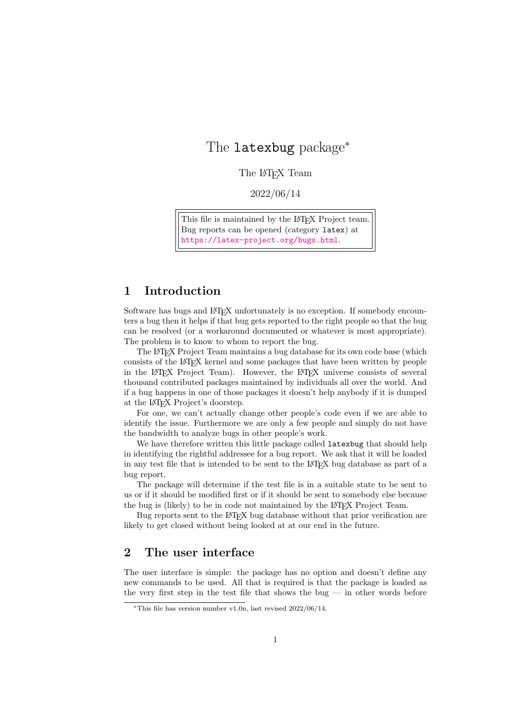# The latexbug package<sup>\*</sup>

The L<sup>AT</sup>EX Team

2022/06/14

This file is maintained by the L<sup>AT</sup>F<sub>X</sub> Project team. Bug reports can be opened (category latex) at <https://latex-project.org/bugs.html>.

## 1 Introduction

Software has bugs and LAT<sub>EX</sub> unfortunately is no exception. If somebody encounters a bug then it helps if that bug gets reported to the right people so that the bug can be resolved (or a workaround documented or whatever is most appropriate). The problem is to know to whom to report the bug.

The LATEX Project Team maintains a bug database for its own code base (which consists of the LATEX kernel and some packages that have been written by people in the LATEX Project Team). However, the LATEX universe consists of several thousand contributed packages maintained by individuals all over the world. And if a bug happens in one of those packages it doesn't help anybody if it is dumped at the LATEX Project's doorstep.

For one, we can't actually change other people's code even if we are able to identify the issue. Furthermore we are only a few people and simply do not have the bandwidth to analyze bugs in other people's work.

We have therefore written this little package called latexbug that should help in identifying the rightful addressee for a bug report. We ask that it will be loaded in any test file that is intended to be sent to the LATEX bug database as part of a bug report.

The package will determine if the test file is in a suitable state to be sent to us or if it should be modified first or if it should be sent to somebody else because the bug is (likely) to be in code not maintained by the LAT<sub>EX</sub> Project Team.

Bug reports sent to the LAT<sub>EX</sub> bug database without that prior verification are likely to get closed without being looked at at our end in the future.

# 2 The user interface

The user interface is simple: the package has no option and doesn't define any new commands to be used. All that is required is that the package is loaded as the very first step in the test file that shows the bug  $-$  in other words before

 $*$ This file has version number v1.0n, last revised 2022/06/14.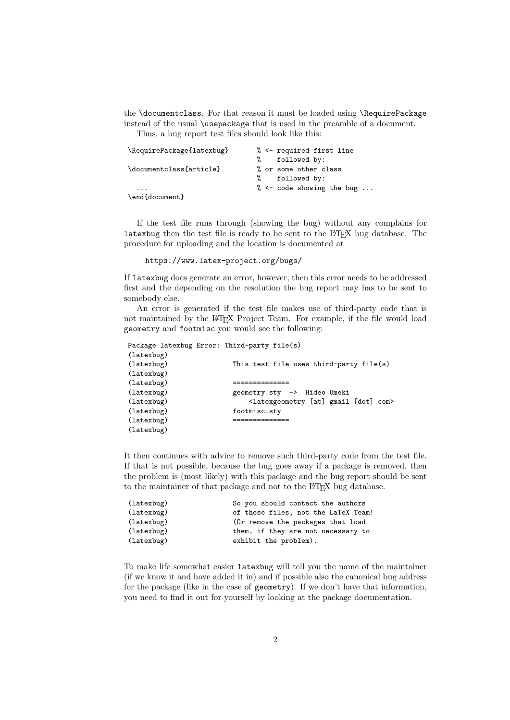the \documentclass. For that reason it must be loaded using \RequirePackage instead of the usual \usepackage that is used in the preamble of a document.

Thus, a bug report test files should look like this:

| \RequirePackage{latexbug} | % <- required first line      |
|---------------------------|-------------------------------|
|                           | followed by:                  |
| \documentclass{article}   | % or some other class         |
|                           | % followed by:                |
| $\cdot$ $\cdot$ $\cdot$   | % $\leq$ code showing the bug |
| \end{document}            |                               |

If the test file runs through (showing the bug) without any complains for latexbug then the test file is ready to be sent to the LATEX bug database. The procedure for uploading and the location is documented at

#### https://www.latex-project.org/bugs/

If latexbug does generate an error, however, then this error needs to be addressed first and the depending on the resolution the bug report may has to be sent to somebody else.

An error is generated if the test file makes use of third-party code that is not maintained by the LATEX Project Team. For example, if the file would load geometry and footmisc you would see the following:

| Package latexbug Error: Third-party file(s) |                                                                  |
|---------------------------------------------|------------------------------------------------------------------|
| (latexbug)                                  |                                                                  |
| (latexbug)                                  | This test file uses third-party file(s)                          |
| (latexbug)                                  |                                                                  |
| (latexbug)                                  |                                                                  |
| (latexbug)                                  | geometry.sty -> Hideo Umeki                                      |
| (latexbug)                                  | <latexgeometry [at]="" [dot]="" com="" gmail=""></latexgeometry> |
| (latexbug)                                  | footmisc.sty                                                     |
| (latexbug)                                  |                                                                  |
| (latexbug)                                  |                                                                  |

It then continues with advice to remove such third-party code from the test file. If that is not possible, because the bug goes away if a package is removed, then the problem is (most likely) with this package and the bug report should be sent to the maintainer of that package and not to the LAT<sub>EX</sub> bug database.

| (latexbug) | So you should contact the authors   |
|------------|-------------------------------------|
| (latexbug) | of these files, not the LaTeX Team! |
| (latexbug) | (Or remove the packages that load   |
| (latexbug) | them, if they are not necessary to  |
| (latexbug) | exhibit the problem).               |
|            |                                     |

To make life somewhat easier latexbug will tell you the name of the maintainer (if we know it and have added it in) and if possible also the canonical bug address for the package (like in the case of geometry). If we don't have that information, you need to find it out for yourself by looking at the package documentation.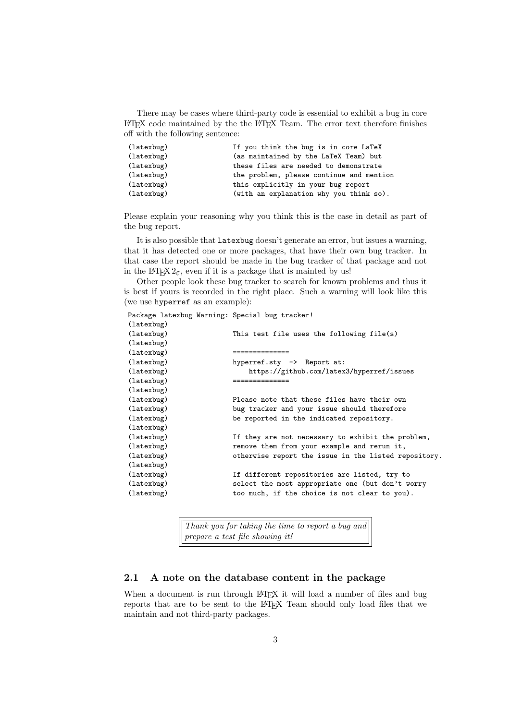There may be cases where third-party code is essential to exhibit a bug in core LATEX code maintained by the the LATEX Team. The error text therefore finishes off with the following sentence:

| (latexbug) | If you think the bug is in core LaTeX    |
|------------|------------------------------------------|
| (latexbug) | (as maintained by the LaTeX Team) but    |
| (latexbug) | these files are needed to demonstrate    |
| (latexbug) | the problem, please continue and mention |
| (latexbug) | this explicitly in your bug report       |
| (latexbug) | (with an explanation why you think so).  |

Please explain your reasoning why you think this is the case in detail as part of the bug report.

It is also possible that latexbug doesn't generate an error, but issues a warning, that it has detected one or more packages, that have their own bug tracker. In that case the report should be made in the bug tracker of that package and not in the L<sup>A</sup>T<sub>E</sub>X 2<sub> $\varepsilon$ </sub>, even if it is a package that is mainted by us!

Other people look these bug tracker to search for known problems and thus it is best if yours is recorded in the right place. Such a warning will look like this (we use hyperref as an example):

Package latexbug Warning: Special bug tracker!

| (latexbug) |                                                      |
|------------|------------------------------------------------------|
| (latexbug) | This test file uses the following file(s)            |
| (latexbug) |                                                      |
| (latexbug) | ==============                                       |
| (latexbug) | hyperref.sty -> Report at:                           |
| (latexbug) | https://github.com/latex3/hyperref/issues            |
| (latexbug) |                                                      |
| (latexbug) |                                                      |
| (latexbug) | Please note that these files have their own          |
| (latexbug) | bug tracker and your issue should therefore          |
| (latexbug) | be reported in the indicated repository.             |
| (latexbug) |                                                      |
| (latexbug) | If they are not necessary to exhibit the problem,    |
| (latexbug) | remove them from your example and rerun it,          |
| (latexbug) | otherwise report the issue in the listed repository. |
| (latexbug) |                                                      |
| (latexbug) | If different repositories are listed, try to         |
| (latexbug) | select the most appropriate one (but don't worry     |
| (latexbug) | too much, if the choice is not clear to you).        |
|            |                                                      |

Thank you for taking the time to report a bug and prepare a test file showing it!

#### 2.1 A note on the database content in the package

When a document is run through LATEX it will load a number of files and bug reports that are to be sent to the LATEX Team should only load files that we maintain and not third-party packages.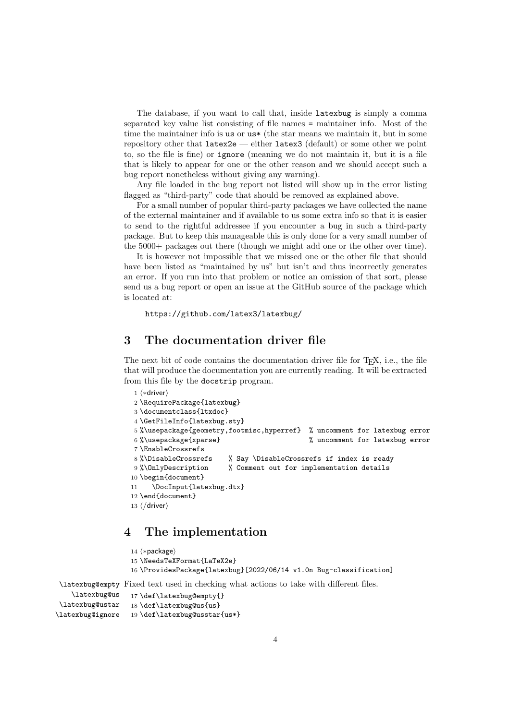The database, if you want to call that, inside latexbug is simply a comma separated key value list consisting of file names = maintainer info. Most of the time the maintainer info is us or us\* (the star means we maintain it, but in some repository other that latex2e — either latex3 (default) or some other we point to, so the file is fine) or ignore (meaning we do not maintain it, but it is a file that is likely to appear for one or the other reason and we should accept such a bug report nonetheless without giving any warning).

Any file loaded in the bug report not listed will show up in the error listing flagged as "third-party" code that should be removed as explained above.

For a small number of popular third-party packages we have collected the name of the external maintainer and if available to us some extra info so that it is easier to send to the rightful addressee if you encounter a bug in such a third-party package. But to keep this manageable this is only done for a very small number of the 5000+ packages out there (though we might add one or the other over time).

It is however not impossible that we missed one or the other file that should have been listed as "maintained by us" but isn't and thus incorrectly generates an error. If you run into that problem or notice an omission of that sort, please send us a bug report or open an issue at the GitHub source of the package which is located at:

https://github.com/latex3/latexbug/

### 3 The documentation driver file

The next bit of code contains the documentation driver file for  $T<sub>F</sub>X$ , i.e., the file that will produce the documentation you are currently reading. It will be extracted from this file by the docstrip program.

```
1 ⟨∗driver⟩
2 \RequirePackage{latexbug}
3 \documentclass{ltxdoc}
4 \GetFileInfo{latexbug.sty}
5 %\usepackage{geometry,footmisc,hyperref} % uncomment for latexbug error
6 %\usepackage{xparse} % uncomment for latexbug error
7 \EnableCrossrefs
8 %\DisableCrossrefs % Say \DisableCrossrefs if index is ready
9 %\OnlyDescription % Comment out for implementation details
10 \begin{document}
11 \DocInput{latexbug.dtx}
12 \end{document}
13 ⟨/driver⟩
```
### 4 The implementation

```
14 ⟨∗package⟩
                  15 \NeedsTeXFormat{LaTeX2e}
                  16 \ProvidesPackage{latexbug}[2022/06/14 v1.0n Bug-classification]
\latexbug@empty
Fixed text used in checking what actions to take with different files.
   \latexbug@us
                  17 \def\latexbug@empty{}
                  18 \def\latexbug@us{us}
```

```
\latexbug@ustar
\latexbug@ignore
                  19 \def\latexbug@usstar{us*}
```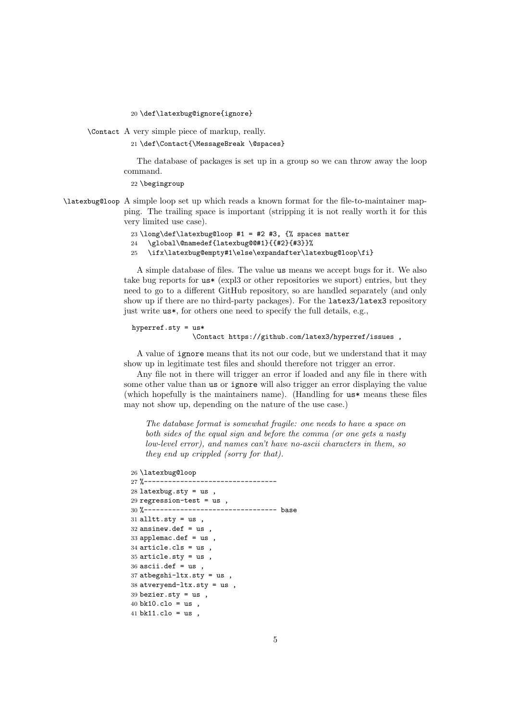20 \def\latexbug@ignore{ignore}

\Contact A very simple piece of markup, really.

21 \def\Contact{\MessageBreak \@spaces}

The database of packages is set up in a group so we can throw away the loop command.

22 \begingroup

\latexbug@loop A simple loop set up which reads a known format for the file-to-maintainer mapping. The trailing space is important (stripping it is not really worth it for this very limited use case).

```
23 \long\def\latexbug@loop #1 = #2 #3, \% spaces matter
```
- 24 \global\@namedef{latexbug@@#1}{{#2}{#3}}%
- 25 \ifx\latexbug@empty#1\else\expandafter\latexbug@loop\fi}

A simple database of files. The value us means we accept bugs for it. We also take bug reports for us\* (expl3 or other repositories we suport) entries, but they need to go to a different GitHub repository, so are handled separately (and only show up if there are no third-party packages). For the latex3/latex3 repository just write us\*, for others one need to specify the full details, e.g.,

#### hyperref.sty = us\* \Contact https://github.com/latex3/hyperref/issues ,

A value of ignore means that its not our code, but we understand that it may show up in legitimate test files and should therefore not trigger an error.

Any file not in there will trigger an error if loaded and any file in there with some other value than us or ignore will also trigger an error displaying the value (which hopefully is the maintainers name). (Handling for us\* means these files may not show up, depending on the nature of the use case.)

The database format is somewhat fragile: one needs to have a space on both sides of the equal sign and before the comma (or one gets a nasty low-level error), and names can't have no-ascii characters in them, so they end up crippled (sorry for that).

```
26 \latexbug@loop
```

```
27 %---------------------------------
28 latexbug.sty = us,
29 regression-test = us ,
30 %--------------------------------- base
31 alltt.sty = us,
32 ansinew.def = us,
33 applemac.def = us,
34 article.cls = us ,
35 article.sty = us36 ascii.def = us,
37 atbegshi-ltx.sty = us
38 atveryend-ltx.sty = us ,
39 bezier.sty = us ,
40 bk10.clo = us ,
41 bk11.clo = us,
```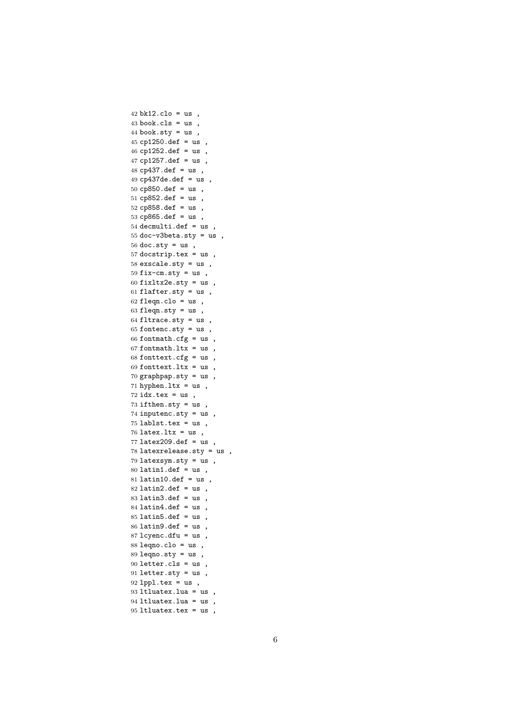bk12.clo = us, book.cls = us, 44 book.sty =  $us$ ,  $cp1250.$ def = us, cp1252.def = us, cp1257.def = us , cp437.def = us , cp437de.def = us , cp850.def = us , cp852.def = us , cp858.def = us , cp865.def = us , decmulti.def = us , 55 doc-v3beta.sty =  $us$ , 56 doc.sty =  $us$ , 57 docstrip.tex =  $us$ , exscale.sty = us , 59 fix-cm.sty =  $us$ , fixltx2e.sty = us, 61 flafter.sty =  $us$ , fleqn.clo = us, fleqn.sty = us , fltrace.sty = us , 65 fontenc.sty =  $us$ , 66 fontmath.cfg =  $us$ , fontmath.ltx = us, 68 fonttext.cfg =  $us$ , 69 fonttext.ltx =  $us$ , graphpap.sty = us , 71 hyphen.ltx =  $us$ , idx.tex = us, ifthen.sty = us , inputenc.sty = us , lablst.tex = us, latex.ltx = us, latex209.def = us, latexrelease.sty = us , latexsym.sty = us , latin1.def = us, latin10.def = us, latin2.def = us, latin3.def = us, latin $4.$ def = us, latin $5$ .def = us, latin9.def = us, lcyenc.dfu = us ,  $88 \text{ leqno.clo} = \text{us}$ , 89 leqno.sty =  $us$ , letter.cls = us , letter.sty = us , lppl.tex = us, ltluatex.lua = us , ltluatex.lua = us , ltluatex.tex = us ,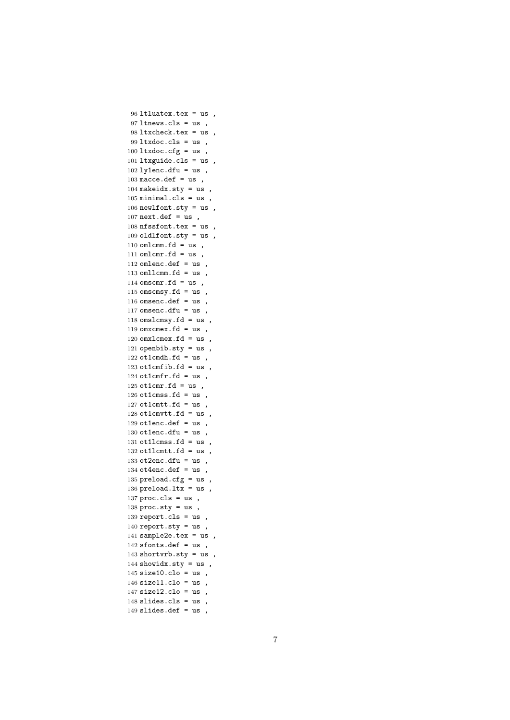```
96 ltluatex.tex = us ,
97 ltnews.cls = us ,
98 ltxcheck.tex = us ,
99 ltxdoc.cls = us ,
100 ltxdoc.cfg = us,
101 ltxguide.cls = us ,
102 ly1enc.dfu = us,
103 macce.def = us,
104 makeidx.sty = us,
105 minimal.cls = us,
106 newlfont.sty = us ,
107 next.def = us,
108 nfssfont.tex = us ,
109 oldlfont.sty = us,
110 omlcmm.fd = us,
111 omlcmr.fd = us,
112 omlenc.def = us,
113 omllcmm.fd = us,
114 omscmr.fd = us,
115 omscmsy.fd = us,
116 omsenc.def = us,
117 omsenc.dfu = us,
118 omslcmsy.fd = us,
119 omxcmex.fd = us,
120 omxlcmex.fd = us,
121 openbib.sty = us,
122 ot1cmdh.fd = us,
123 ot1cmfib.fd = us,
124 ot1cmfr.fd = us,
125 ot1cmr.fd = us,
126 ot1cmss.fd = us,
127 ot1cmtt.fd = us,
128 ot1cmvtt.fd = us,
129 ot1enc.def = us,
130 ot1enc.dfu = us,
131 ot11cmss.fd = us,
132 ot11cmtt.fd = us,
133 ot2enc.dfu = us,
134 ot4enc.def = us,
135 preload.cfg = us,
136 preload.ltx = us,
137 proc.class = us,
138 proc.sty = us,
139 report.cls = us ,
140 report.sty = us,
141 sample2e.tex = us,
142 sfonts.def = us,
143 shortvrb.sty = us,
144 showidx.sty = us,
145 size10.clo = us,
146 size11.clo = us,
147 size12.clo = us,
148 slides.cls = us ,
149 slides.def = us,
```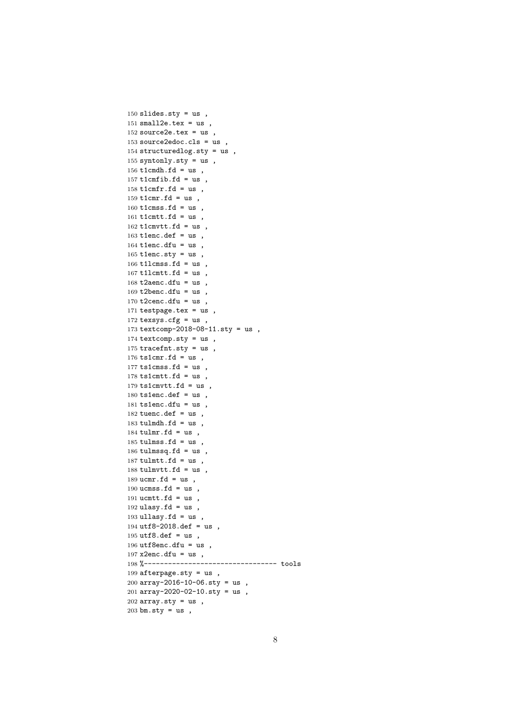```
150 slides.sty = us,
151 small2e.tex = us,
152 source 2e.tex = us,
153 source2edoc.cls = us,
154 structuredlog.sty = us ,
155 syntonly.sty = us,
156 t1cmdh.fd = us,
157 t1cmfib.fd = us,
158 t1cmfr.fd = us,
159 t1cmr.fd = us,
160 t1cmss.fd = us,
161 t1cmtt.fd = us,
162 t1cmvtt.fd = us,
163 t1enc.def = us,
164 t1enc.dfu = us,
165 tlenc.sty = us,
166 t1lcmss.fd = us,
167 t1lcmtt.fd = us,
168 t2aenc.dfu = us,
169 t2benc.dfu = us,
170 t2cenc.dfu = us,
171 testpage.tex = us ,
172 texsys.cfg = us ,
173 textcomp-2018-08-11.sty = us,
174 textcomp.sty = us,
175 tracefnt.sty = us ,
176 ts1cmr.fd = us,
177 ts1cmss.fd = us,
178 ts1cmtt.fd = us,
179 ts1cmvtt.fd = us,
180 ts1enc.def = us,
181 ts1enc.dfu = us,
182 tuenc.def = us,
183 tulmdh.fd = us,
184 tulmr.fd = us,
185 tulmss.fd = us,
186 tulmssq.fd = us,
187 tulmtt.fd = us,
188 tulmvtt.fd = us,
189 ucmr.fd = us,
190 ucmss.fd = us,
191 ucmtt.fd = us,
192 ulasy.fd = us,
193 ullasy.fd = us,
194 utf8-2018.def = us,
195 utf8.def = us ,
196 utf8enc.dfu = us,
197 x2enc.dfu = us,
198 %--------------------------------- tools
199 afterpage.sty = us ,
200 array-2016-10-06.sty = us ,
201 array-2020-02-10.sty = us ,
202 array.sty = us,
203 bm.sty = us,
```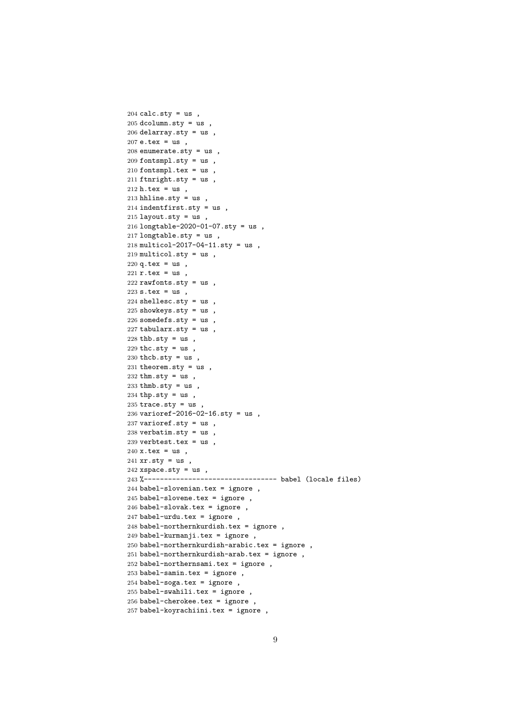```
204 calc.sty = us,
205 dcolumn.sty = us,
206 delarray.sty = us,
207 e.tex = us,
208 enumerate.sty = us ,
209 fontsmpl.sty = us,
210 fontsmpl.tex = us,
211 ftnright.sty = us ,
212 h.tex = us,
213 hhline.sty = us,
214 indentfirst.sty = us ,
215 layout.sty = us,
216 longtable-2020-01-07.sty = us ,
217 longtable.sty = us,
218 multicol-2017-04-11.sty = us ,
219 multicol.sty = us,
220 q.tex = us,
221 r.tex = us,
222 rawfonts.sty = us,
223 s.tex = us,
224 shellesc.sty = us,
225 showkeys.sty = us ,
226 somedefs.sty = us ,
227 tabularx.sty = us,
228 thb.sty = us,
229 thc.sty = us,
230 thcb.sty = us,
231 theorem.sty = us,
232 thm.sty = us,
233 thmb.sty = us,
234 thp.sty = us,
235 trace.sty = us,
236 varioref-2016-02-16.sty = us ,
237 varioref.sty = us,
238 verbatim.sty = us,
239 verbtest.tex = us,
240 \text{ x.}tex = us,
241 xr.sty = us,
242 xspace.sty = us,
243 %--------------------------------- babel (locale files)
244 babel-slovenian.tex = ignore ,
245 babel-slovene.tex = ignore ,
246 babel-slovak.tex = ignore ,
247 babel-urdu.tex = ignore ,
248 babel-northernkurdish.tex = ignore ,
249 babel-kurmanji.tex = ignore ,
250 babel-northernkurdish-arabic.tex = ignore ,
251 babel-northernkurdish-arab.tex = ignore ,
252 babel-northernsami.tex = ignore ,
253 babel-samin.tex = ignore ,
254 babel-soga.tex = ignore ,
255 babel-swahili.tex = ignore ,
256 babel-cherokee.tex = ignore ,
257 babel-koyrachiini.tex = ignore ,
```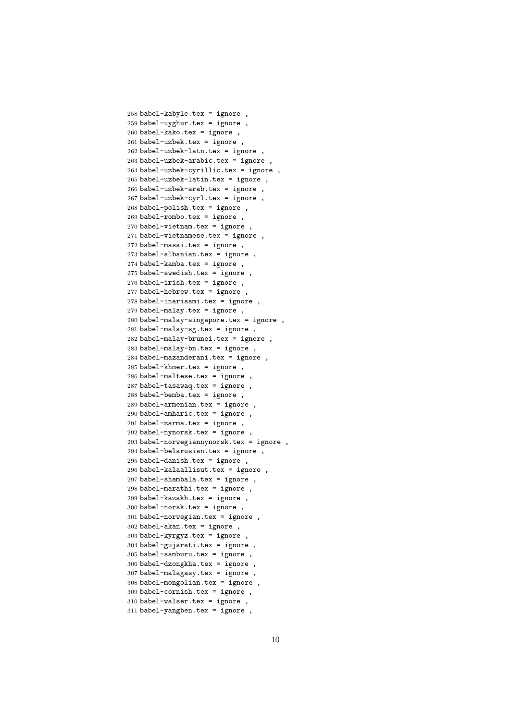```
258 babel-kabyle.tex = ignore ,
259 babel-uyghur.tex = ignore ,
260 babel-kako.tex = ignore ,
261 babel-uzbek.tex = ignore,
262 babel-uzbek-latn.tex = ignore ,
263 babel-uzbek-arabic.tex = ignore ,
264 babel-uzbek-cyrillic.tex = ignore ,
265 babel-uzbek-latin.tex = ignore ,
266 babel-uzbek-arab.tex = ignore ,
267 babel-uzbek-cyrl.tex = ignore ,
268 babel-polish.tex = ignore ,
269 babel-rombo.tex = ignore ,
270 babel-vietnam.tex = ignore ,
271 babel-vietnamese.tex = ignore ,
272 babel-masai.tex = ignore ,
273 babel-albanian.tex = ignore,
274 babel-kamba.tex = ignore,
275 babel-swedish.tex = ignore ,
276 babel-irish.tex = ignore ,
277 babel-hebrew.tex = ignore
278 babel-inarisami.tex = ignore ,
279 babel-malay.tex = ignore ,
280 babel-malay-singapore.tex = ignore ,
281 babel-malay-sg.tex = ignore,
282 babel-malay-brunei.tex = ignore ,
283 babel-malay-bn.tex = ignore ,
284 babel-mazanderani.tex = ignore ,
285 babel-khmer.tex = ignore ,
286 babel-maltese.tex = ignore ,
287 babel-tasawaq.tex = ignore ,
288 babel-bemba.tex = ignore ,
289 babel-armenian.tex = ignore ,
290 babel-amharic.tex = ignore ,
291 babel-zarma.tex = ignore ,
292 babel-nynorsk.tex = ignore ,
293 babel-norwegiannynorsk.tex = ignore ,
294 babel-belarusian.tex = ignore ,
295 babel-danish.tex = ignore,
296 babel-kalaallisut.tex = ignore ,
297 babel-shambala.tex = ignore ,
298 babel-marathi.tex = ignore ,
299 babel-kazakh.tex = ignore ,
300 babel-norsk.tex = ignore ,
301 babel-norwegian.tex = ignore ,
302 babel-akan.tex = ignore,
303 babel-kyrgyz.tex = ignore ,
304 babel-gujarati.tex = ignore ,
305 babel-samburu.tex = ignore,
306 babel-dzongkha.tex = ignore,
307 babel-malagasy.tex = ignore ,
308 babel-mongolian.tex = ignore ,
309 babel-cornish.tex = ignore ,
310 babel-walser.tex = ignore ,
311 babel-yangben.tex = ignore,
```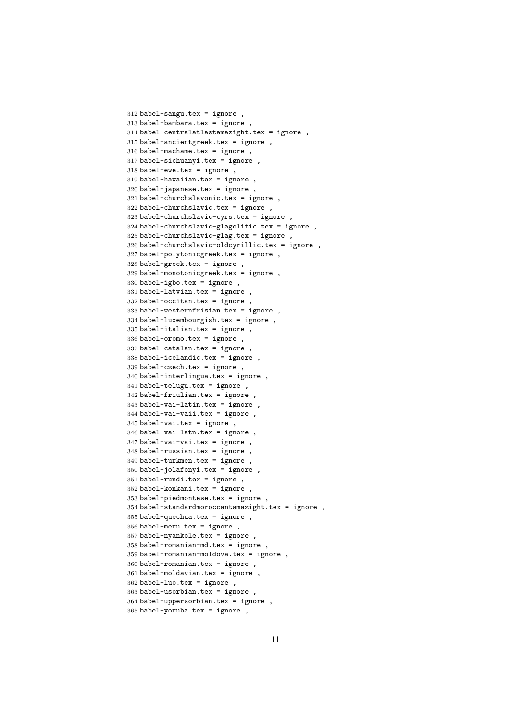```
312 babel-sangu.tex = ignore ,
313 babel-bambara.tex = ignore
314 babel-centralatlastamazight.tex = ignore ,
315 babel-ancientgreek.tex = ignore ,
316 babel-machame.tex = ignore ,
317 babel-sichuanyi.tex = ignore ,
318 babel-ewe.tex = ignore ,
319 babel-hawaiian.tex = ignore ,
320 babel-japanese.tex = ignore ,
321 babel-churchslavonic.tex = ignore ,
322 babel-churchslavic.tex = ignore ,
323 babel-churchslavic-cyrs.tex = ignore ,
324 babel-churchslavic-glagolitic.tex = ignore ,
325 babel-churchslavic-glag.tex = ignore ,
326 babel-churchslavic-oldcyrillic.tex = ignore ,
327 babel-polytonicgreek.tex = ignore ,
328 babel-greek.tex = ignore ,
329 babel-monotonicgreek.tex = ignore ,
330 babel-igbo.tex = ignore ,
331 babel-latvian.tex = ignore ,
332 babel-occitan.tex = ignore ,
333 babel-westernfrisian.tex = ignore ,
334 babel-luxembourgish.tex = ignore ,
335 babel-italian.tex = ignore,
336 babel-oromo.tex = ignore ,
337 babel-catalan.tex = ignore ,
338 babel-icelandic.tex = ignore ,
339 babel-czech.tex = ignore ,
340 babel-interlingua.tex = ignore ,
341 babel-telugu.tex = ignore ,
342 babel-friulian.tex = ignore ,
343 babel-vai-latin.tex = ignore ,
344 babel-vai-vaii.tex = ignore ,
345 babel-vai.tex = ignore,
346 babel-vai-latn.tex = ignore ,
347 babel-vai-vai.tex = ignore,
348 babel-russian.tex = ignore ,
349 babel-turkmen.tex = ignore ,
350 babel-jolafonyi.tex = ignore ,
351 babel-rundi.tex = ignore ,
352 babel-konkani.tex = ignore ,
353 babel-piedmontese.tex = ignore ,
354 babel-standardmoroccantamazight.tex = ignore ,
355 babel-quechua.tex = ignore ,
356 babel-meru.tex = ignore ,
357 babel-nyankole.tex = ignore ,
358 babel-romanian-md.tex = ignore ,
359 babel-romanian-moldova.tex = ignore ,
360 babel-romanian.tex = ignore,
361 babel-moldavian.tex = ignore ,
362 babel-luo.tex = ignore ,
363 babel-usorbian.tex = ignore ,
364 babel-uppersorbian.tex = ignore ,
365 babel-yoruba.tex = ignore ,
```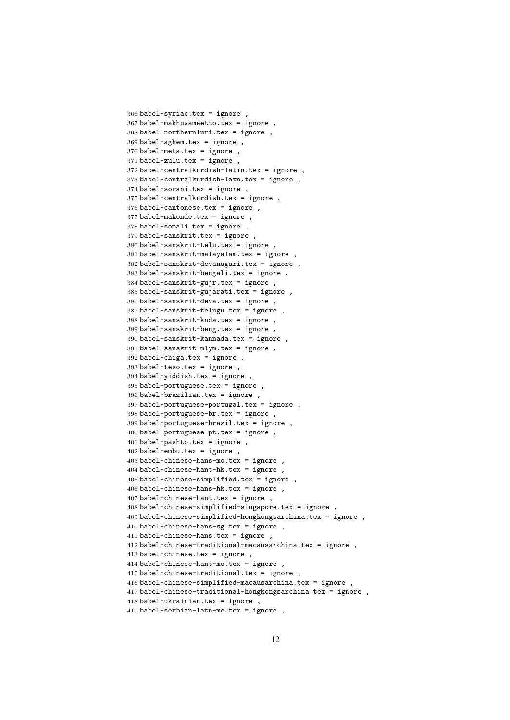```
366 babel-syriac.tex = ignore ,
367 babel-makhuwameetto.tex = ignore ,
368 babel-northernluri.tex = ignore ,
369 babel-aghem.tex = ignore,
370 babel-meta.tex = ignore ,
371 babel-zulu.tex = ignore ,
372 babel-centralkurdish-latin.tex = ignore ,
373 babel-centralkurdish-latn.tex = ignore ,
374 babel-sorani.tex = ignore ,
375 babel-centralkurdish.tex = ignore ,
376 babel-cantonese.tex = ignore ,
377 babel-makonde.tex = ignore ,
378 babel-somali.tex = ignore ,
379 babel-sanskrit.tex = ignore
380 babel-sanskrit-telu.tex = ignore ,
381 babel-sanskrit-malayalam.tex = ignore ,
382 babel-sanskrit-devanagari.tex = ignore ,
383 babel-sanskrit-bengali.tex = ignore ,
384 babel-sanskrit-gujr.tex = ignore ,
385 babel-sanskrit-gujarati.tex = ignore ,
386 babel-sanskrit-deva.tex = ignore ,
387 babel-sanskrit-telugu.tex = ignore ,
388 babel-sanskrit-knda.tex = ignore ,
389 babel-sanskrit-beng.tex = ignore ,
390 babel-sanskrit-kannada.tex = ignore ,
391 babel-sanskrit-mlym.tex = ignore ,
392 babel-chiga.tex = ignore,
393 babel-teso.tex = ignore ,
394 babel-yiddish.tex = ignore ,
395 babel-portuguese.tex = ignore ,
396 babel-brazilian.tex = ignore ,
397 babel-portuguese-portugal.tex = ignore ,
398 babel-portuguese-br.tex = ignore ,
399 babel-portuguese-brazil.tex = ignore ,
400 babel-portuguese-pt.tex = ignore ,
401 babel-pashto.tex = ignore ,
402 babel-embu.tex = ignore ,
403 babel-chinese-hans-mo.tex = ignore ,
404 babel-chinese-hant-hk.tex = ignore ,
405 babel-chinese-simplified.tex = ignore ,
406 babel-chinese-hans-hk.tex = ignore ,
407 babel-chinese-hant.tex = ignore ,
408 babel-chinese-simplified-singapore.tex = ignore ,
409\text{ babel-chinese-simplified-hongkongsarchina.tex} = ignore ,
410 babel-chinese-hans-sg.tex = ignore ,
411 babel-chinese-hans.tex = ignore ,
412 babel-chinese-traditional-macausarchina.tex = ignore ,
413 babel-chinese.tex = ignore ,
414 babel-chinese-hant-mo.tex = ignore ,
415 babel-chinese-traditional.tex = ignore ,
416 babel-chinese-simplified-macausarchina.tex = ignore ,
417 babel-chinese-traditional-hongkongsarchina.tex = ignore ,
418 babel-ukrainian.tex = ignore ,
419 babel-serbian-latn-me.tex = ignore ,
```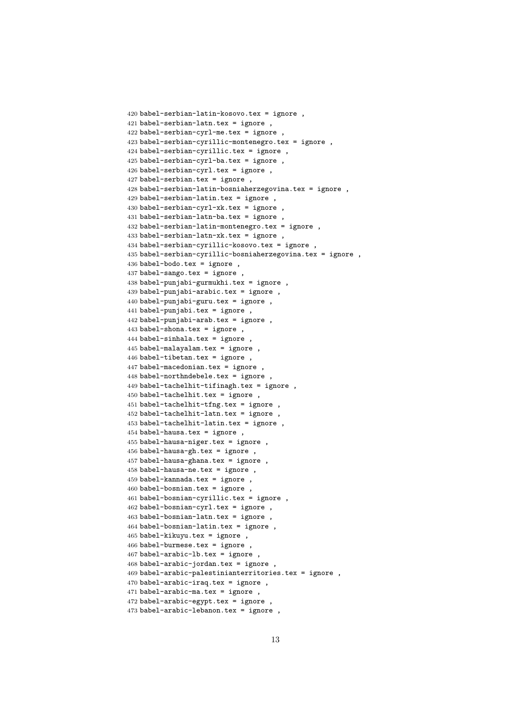```
420 babel-serbian-latin-kosovo.tex = ignore ,
421 babel-serbian-latn.tex = ignore ,
422 babel-serbian-cyrl-me.tex = ignore ,
423 babel-serbian-cyrillic-montenegro.tex = ignore ,
424 babel-serbian-cyrillic.tex = ignore ,
425 babel-serbian-cyrl-ba.tex = ignore ,
426 babel-serbian-cyrl.tex = ignore ,
427 babel-serbian.tex = ignore ,
428 babel-serbian-latin-bosniaherzegovina.tex = ignore ,
429 babel-serbian-latin.tex = ignore ,
430 babel-serbian-cyrl-xk.tex = ignore ,
431 babel-serbian-latn-ba.tex = ignore ,
432 babel-serbian-latin-montenegro.tex = ignore ,
433 babel-serbian-latn-xk.tex = ignore ,
434 babel-serbian-cyrillic-kosovo.tex = ignore ,
435 babel-serbian-cyrillic-bosniaherzegovina.tex = ignore ,
436 babel-bodo.tex = ignore ,
437 babel-sango.tex = ignore ,
438 babel-punjabi-gurmukhi.tex = ignore ,
439 babel-punjabi-arabic.tex = ignore ,
440 babel-punjabi-guru.tex = ignore ,
441 babel-punjabi.tex = ignore ,
442 babel-punjabi-arab.tex = ignore ,
443 babel-shona.tex = ignore ,
444 babel-sinhala.tex = ignore ,
445 babel-malayalam.tex = ignore ,
446 babel-tibetan.tex = ignore ,
447 babel-macedonian.tex = ignore ,
448 babel-northndebele.tex = ignore ,
449 babel-tachelhit-tifinagh.tex = ignore ,
450 babel-tachelhit.tex = ignore ,
451 babel-tachelhit-tfng.tex = ignore ,
452 babel-tachelhit-latn.tex = ignore ,
453 babel-tachelhit-latin.tex = ignore ,
454 babel-hausa.tex = ignore ,
455 babel-hausa-niger.tex = ignore ,
456 babel-hausa-gh.tex = ignore ,
457 babel-hausa-ghana.tex = ignore ,
458 babel-hausa-ne.tex = ignore ,
459 babel-kannada.tex = ignore ,
460 babel-bosnian.tex = ignore ,
461 babel-bosnian-cyrillic.tex = ignore ,
462 babel-bosnian-cyrl.tex = ignore ,
463 babel-bosnian-latn.tex = ignore ,
464 babel-bosnian-latin.tex = ignore ,
465 babel-kikuyu.tex = ignore ,
466 babel-burmese.tex = ignore ,
467 babel-arabic-lb.tex = ignore ,
468 babel-arabic-jordan.tex = ignore ,
469 babel-arabic-palestinianterritories.tex = ignore ,
470 babel-arabic-iraq.tex = ignore ,
471 babel-arabic-ma.tex = ignore ,
472 babel-arabic-egypt.tex = ignore ,
473 babel-arabic-lebanon.tex = ignore ,
```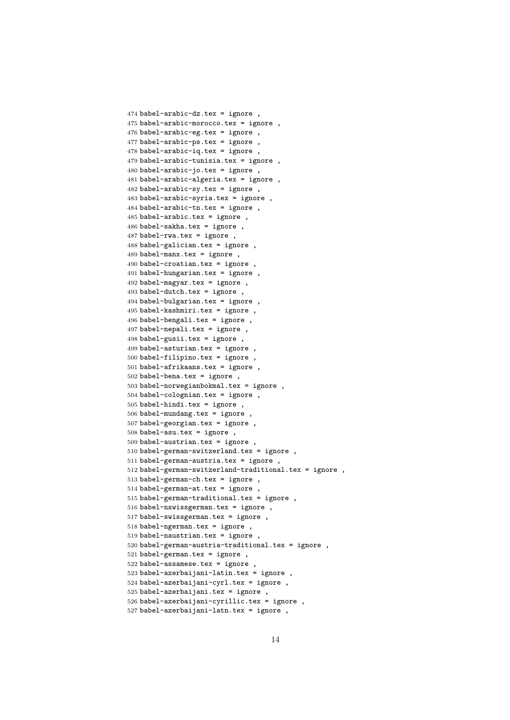```
474 babel-arabic-dz.tex = ignore ,
475 babel-arabic-morocco.tex = ignore ,
476 babel-arabic-eg.tex = ignore,
477 babel-arabic-ps.tex = ignore ,
478 babel-arabic-iq.tex = ignore ,
479 babel-arabic-tunisia.tex = ignore ,
480 babel-arabic-jo.tex = ignore,
481 babel-arabic-algeria.tex = ignore ,
482 babel-arabic-sy.tex = ignore ,
483 babel-arabic-syria.tex = ignore ,
484 babel-arabic-tn.tex = ignore ,
485 babel-arabic.tex = ignore ,
486 babel-sakha.tex = ignore ,
487 babel-rwa.tex = ignore ,
488 babel-galician.tex = ignore ,
489 babel-manx.tex = ignore ,
490 babel-croatian.tex = ignore ,
491 babel-hungarian.tex = ignore ,
492 babel-magyar.tex = ignore ,
493 babel-dutch.tex = ignore ,
494 babel-bulgarian.tex = ignore ,
495 babel-kashmiri.tex = ignore ,
496 babel-bengali.tex = ignore ,
497 babel-nepali.tex = ignore ,
498 babel-gusii.tex = ignore ,
499 babel-asturian.tex = ignore ,
500 babel-filipino.tex = ignore ,
501 babel-afrikaans.tex = ignore ,
502 babel-bena.tex = ignore ,
503 babel-norwegianbokmal.tex = ignore ,
504 babel-colognian.tex = ignore ,
505 babel-hindi.tex = ignore ,
506 babel-mundang.tex = ignore ,
507 babel-georgian.tex = ignore ,
508 babel-asu.tex = ignore ,
509 babel-austrian.tex = ignore ,
510 babel-german-switzerland.tex = ignore ,
511 babel-german-austria.tex = ignore ,
512 babel-german-switzerland-traditional.tex = ignore ,
513 babel-german-ch.tex = ignore ,
514 babel-german-at.tex = ignore
515 babel-german-traditional.tex = ignore ,
516 babel-nswissgerman.tex = ignore ,
517 babel-swissgerman.tex = ignore ,
518 babel-ngerman.tex = ignore,
519 babel-naustrian.tex = ignore ,
520 babel-german-austria-traditional.tex = ignore ,
521 babel-german.tex = ignore ,
522 babel-assamese.tex = ignore ,
523 babel-azerbaijani-latin.tex = ignore ,
524 babel-azerbaijani-cyrl.tex = ignore ,
525 babel-azerbaijani.tex = ignore ,
526 babel-azerbaijani-cyrillic.tex = ignore ,
527 babel-azerbaijani-latn.tex = ignore ,
```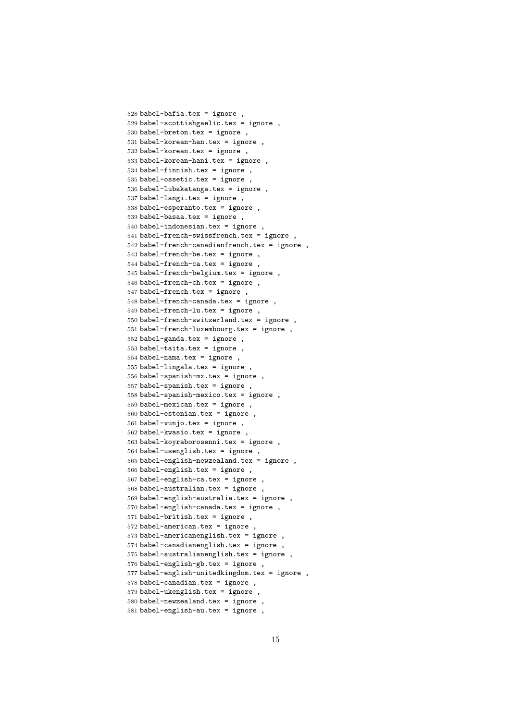```
528 babel-bafia.tex = ignore ,
529 babel-scottishgaelic.tex = ignore ,
530 babel-breton.tex = ignore,
531 babel-korean-han.tex = ignore,
532 babel-korean.tex = ignore,
533 babel-korean-hani.tex = ignore ,
534 babel-finnish.tex = ignore ,
535 babel-ossetic.tex = ignore ,
536 babel-lubakatanga.tex = ignore ,
537 babel-langi.tex = ignore ,
538 babel-esperanto.tex = ignore ,
539 babel-basaa.tex = ignore ,
540 babel-indonesian.tex = ignore ,
541 babel-french-swissfrench.tex = ignore
542 babel-french-canadianfrench.tex = ignore ,
543 babel-french-be.tex = ignore ,
544 babel-french-ca.tex = ignore ,
545 babel-french-belgium.tex = ignore ,
546 babel-french-ch.tex = ignore ,
547 babel-french.tex = ignore ,
548 babel-french-canada.tex = ignore ,
549 babel-french-lu.tex = ignore ,
550 babel-french-switzerland.tex = ignore ,
551 babel-french-luxembourg.tex = ignore ,
552 babel-ganda.tex = ignore ,
553 babel-taita.tex = ignore ,
554 babel-nama.tex = ignore ,
555 babel-lingala.tex = ignore ,
556 babel-spanish-mx.tex = ignore ,
557 babel-spanish.tex = ignore ,
558 babel-spanish-mexico.tex = ignore ,
559 babel-mexican.tex = ignore ,
560 babel-estonian.tex = ignore ,
561 babel-vunjo.tex = ignore ,
562 babel-kwasio.tex = ignore ,
563 babel-koyraborosenni.tex = ignore ,
564 babel-usenglish.tex = ignore ,
565 babel-english-newzealand.tex = ignore ,
566 babel-english.tex = ignore ,
567 babel-english-ca.tex = ignore ,
568 babel-australian.tex = ignore ,
569 babel-english-australia.tex = ignore ,
570 babel-english-canada.tex = ignore ,
571 babel-british.tex = ignore ,
572 babel-american.tex = ignore ,
573 babel-americanenglish.tex = ignore ,
574 babel-canadianenglish.tex = ignore ,
575 babel-australianenglish.tex = ignore ,
576 babel-english-gb.tex = ignore ,
577 babel-english-unitedkingdom.tex = ignore ,
578 babel-canadian.tex = ignore ,
579 babel-ukenglish.tex = ignore ,
580 babel-newzealand.tex = ignore ,
581 babel-english-au.tex = ignore ,
```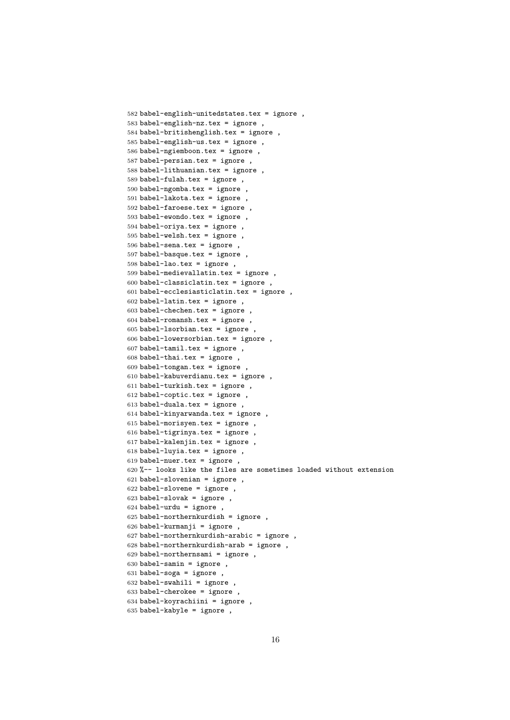```
582 babel-english-unitedstates.tex = ignore ,
583 babel-english-nz.tex = ignore ,
584 babel-britishenglish.tex = ignore ,
585 babel-english-us.tex = ignore ,
586 babel-ngiemboon.tex = ignore ,
587 babel-persian.tex = ignore ,
588 babel-lithuanian.tex = ignore ,
589 babel-fulah.tex = ignore ,
590 babel-ngomba.tex = ignore ,
591 babel-lakota.tex = ignore ,
592 babel-faroese.tex = ignore ,
593 babel-ewondo.tex = ignore ,
594 babel-oriya.tex = ignore ,
595 babel-welsh.tex = ignore ,
596 babel-sena.tex = ignore ,
597 babel-basque.tex = ignore ,
598 babel-lao.tex = ignore ,
599 babel-medievallatin.tex = ignore ,
600 babel-classiclatin.tex = ignore ,
601 babel-ecclesiasticlatin.tex = ignore ,
602 babel-latin.tex = ignore ,
603 babel-chechen.tex = ignore ,
604 babel-romansh.tex = ignore ,
605 babel-lsorbian.tex = ignore ,
606 babel-lowersorbian.tex = ignore ,
607 babel-tamil.tex = ignore ,
608 babel-thai.tex = ignore ,
609 babel-tongan.tex = ignore ,
610 babel-kabuverdianu.tex = ignore ,
611 babel-turkish.tex = ignore ,
612 babel-coptic.tex = ignore ,
613 babel-duala.tex = ignore ,
614 babel-kinyarwanda.tex = ignore ,
615 babel-morisyen.tex = ignore,
616 babel-tigrinya.tex = ignore ,
617 babel-kalenjin.tex = ignore ,
618 babel-luyia.tex = ignore,
619 babel-nuer.tex = ignore ,
620 %-- looks like the files are sometimes loaded without extension
621 babel-slovenian = ignore ,
622 babel-slovene = ignore ,
623 babel-slovak = ignore ,
624 babel-urdu = ignore,
625 babel-northernkurdish = ignore ,
626 babel-kurmanji = ignore ,
627 babel-northernkurdish-arabic = ignore,
628 babel-northernkurdish-arab = ignore ,
629 babel-northernsami = ignore ,
630 babel-samin = ignore,
631 babel-soga = ignore,
632 babel-swahili = ignore ,
633 babel-cherokee = ignore ,
634 babel-koyrachiini = ignore ,
635 babel-kabyle = ignore ,
```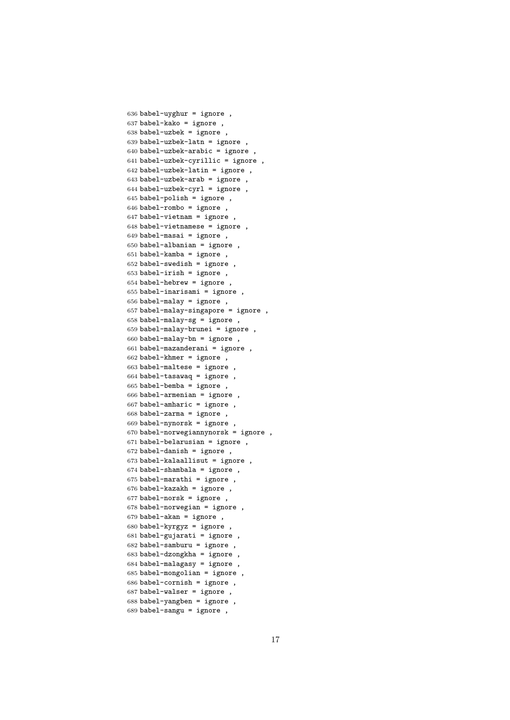```
636 babel-uyghur = ignore ,
637 babel-kako = ignore ,
638 babel-uzbek = ignore,
639 babel-uzbek-latn = ignore ,
640 babel-uzbek-arabic = ignore ,
641 babel-uzbek-cyrillic = ignore ,
642 babel-uzbek-latin = ignore ,
643 babel-uzbek-arab = ignore ,
644 babel-uzbek-cyrl = ignore,
645 babel-polish = ignore ,
646 babel-rombo = ignore ,
647 babel-vietnam = ignore ,
648 babel-vietnamese = ignore ,
649 babel-masai = ignore,
650 babel-albanian = ignore ,
651 babel-kamba = ignore,
652 babel-swedish = ignore ,
653 babel-irish = ignore ,
654 babel-hebrew = ignore ,
655 babel-inarisami = ignore ,
656 babel-malay = ignore ,
657 babel-malay-singapore = ignore ,
658 babel-malay-sg = ignore ,
659 babel-malay-brunei = ignore,
660 babel-malay-bn = ignore ,
661 babel-mazanderani = ignore ,
662 babel-khmer = ignore ,
663 babel-maltese = ignore ,
664 babel-tasawaq = ignore ,
665 babel-bemba = ignore ,
666 babel-armenian = ignore ,
667 babel-amharic = ignore ,
668 babel-zarma = ignore ,
669 babel-nynorsk = ignore ,
670 babel-norwegiannynorsk = ignore ,
671 babel-belarusian = ignore ,
672 babel-danish = ignore,
673 babel-kalaallisut = ignore ,
674 babel-shambala = ignore ,
675 babel-marathi = ignore ,
676 babel-kazakh = ignore ,
677 babel-norsk = ignore,
678 babel-norwegian = ignore ,
679 babel-akan = ignore ,
680 babel-kyrgyz = ignore ,
681 babel-gujarati = ignore,
682 babel-samburu = ignore ,
683 babel-dzongkha = ignore ,
684 babel-malagasy = ignore ,
685 babel-mongolian = ignore ,
686 babel-cornish = ignore ,
687 babel-walser = ignore ,
688 babel-yangben = ignore ,
689 babel-sangu = ignore ,
```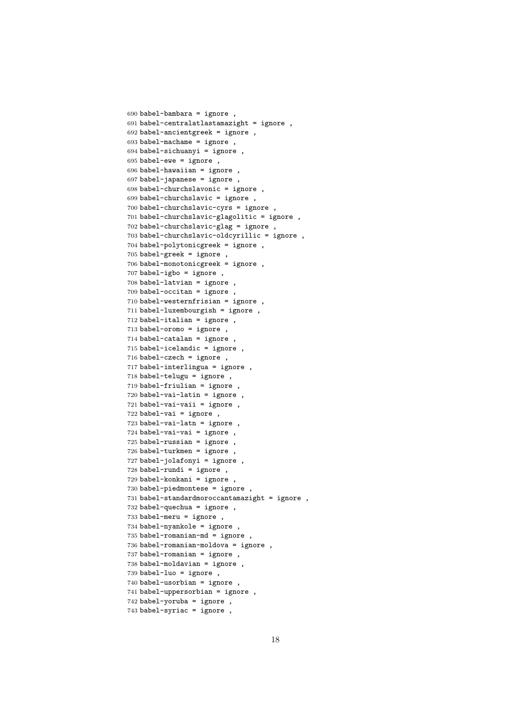```
690 babel-bambara = ignore ,
691 babel-centralatlastamazight = ignore ,
692 babel-ancientgreek = ignore ,
693 babel-machame = ignore ,
694 babel-sichuanyi = ignore ,
695 babel-ewe = ignore,
696 babel-hawaiian = ignore ,
697 babel-japanese = ignore ,
698 babel-churchslavonic = ignore ,
699 babel-churchslavic = ignore ,
700 babel-churchslavic-cyrs = ignore ,
701 babel-churchslavic-glagolitic = ignore ,
702 babel-churchslavic-glag = ignore ,
703 babel-churchslavic-oldcyrillic = ignore ,
704 babel-polytonicgreek = ignore ,
705 babel-greek = ignore ,
706 babel-monotonicgreek = ignore ,
707 babel-igbo = ignore ,
708 babel-latvian = ignore ,
709 babel-occitan = ignore ,
710 babel-westernfrisian = ignore ,
711 babel-luxembourgish = ignore ,
712 babel-italian = ignore ,
713 babel-oromo = ignore ,
714 babel-catalan = ignore ,
715 babel-icelandic = ignore ,
716 babel-czech = ignore ,
717 babel-interlingua = ignore ,
718 babel-telugu = ignore ,
719 babel-friulian = ignore ,
720 babel-vai-latin = ignore ,
721 babel-vai-vaii = ignore ,
722 babel-vai = ignore ,
723 babel-vai-latn = ignore ,
724 babel-vai-vai = ignore,
725 babel-russian = ignore ,
726 babel-turkmen = ignore ,
727 babel-jolafonyi = ignore ,
728 babel-rundi = ignore ,
729 babel-konkani = ignore ,
730 babel-piedmontese = ignore ,
731 babel-standardmoroccantamazight = ignore ,
732 babel-quechua = ignore ,
733 babel-meru = ignore ,
734 babel-nyankole = ignore ,
735 babel-romanian-md = ignore ,
736 babel-romanian-moldova = ignore ,
737 babel-romanian = ignore ,
738 babel-moldavian = ignore ,
739 babel-luo = ignore ,
740 babel-usorbian = ignore ,
741 babel-uppersorbian = ignore ,
742 babel-yoruba = ignore ,
743 babel-syriac = ignore ,
```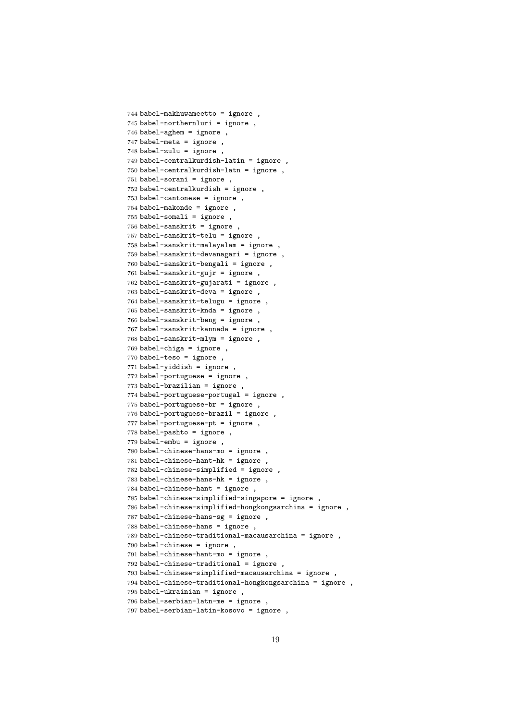```
744 babel-makhuwameetto = ignore ,
745 babel-northernluri = ignore ,
746 babel-aghem = ignore ,
747 babel-meta = ignore ,
748 babel-zulu = ignore ,
749 babel-centralkurdish-latin = ignore ,
750 babel-centralkurdish-latn = ignore ,
751 babel-sorani = ignore ,
752 babel-centralkurdish = ignore ,
753 babel-cantonese = ignore ,
754 babel-makonde = ignore ,
755 babel-somali = ignore ,
756 babel-sanskrit = ignore ,
757 babel-sanskrit-telu = ignore ,
758 babel-sanskrit-malayalam = ignore ,
759 babel-sanskrit-devanagari = ignore ,
760 babel-sanskrit-bengali = ignore ,
761 babel-sanskrit-gujr = ignore ,
762 babel-sanskrit-gujarati = ignore ,
763 babel-sanskrit-deva = ignore ,
764 babel-sanskrit-telugu = ignore ,
765 babel-sanskrit-knda = ignore ,
766 babel-sanskrit-beng = ignore ,
767 babel-sanskrit-kannada = ignore ,
768 babel-sanskrit-mlym = ignore ,
769 babel-chiga = ignore ,
770 babel-teso = ignore ,
771 babel-yiddish = ignore ,
772 babel-portuguese = ignore ,
773 babel-brazilian = ignore ,
774 babel-portuguese-portugal = ignore ,
775 babel-portuguese-br = ignore ,
776 babel-portuguese-brazil = ignore ,
777 babel-portuguese-pt = ignore ,
778 babel-pashto = ignore ,
779 babel-embu = ignore ,
780 babel-chinese-hans-mo = ignore ,
781 babel-chinese-hant-hk = ignore ,
782 babel-chinese-simplified = ignore ,
783 babel-chinese-hans-hk = ignore ,
784 babel-chinese-hant = ignore ,
785 babel-chinese-simplified-singapore = ignore ,
786 babel-chinese-simplified-hongkongsarchina = ignore ,
787 babel-chinese-hans-sg = ignore ,
788 babel-chinese-hans = ignore ,
789 babel-chinese-traditional-macausarchina = ignore ,
790 babel-chinese = ignore ,
791 babel-chinese-hant-mo = ignore ,
792 babel-chinese-traditional = ignore ,
793 babel-chinese-simplified-macausarchina = ignore ,
794 babel-chinese-traditional-hongkongsarchina = ignore ,
795 babel-ukrainian = ignore ,
796 babel-serbian-latn-me = ignore ,
797 babel-serbian-latin-kosovo = ignore ,
```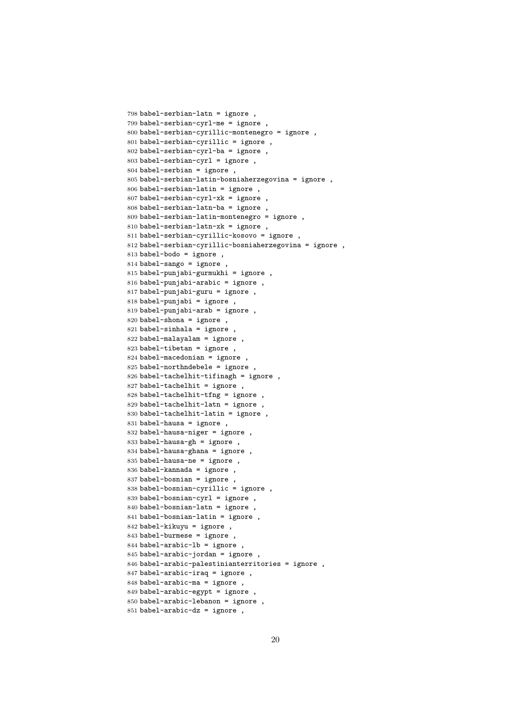```
798 babel-serbian-latn = ignore ,
799 babel-serbian-cyrl-me = ignore ,
800 babel-serbian-cyrillic-montenegro = ignore ,
801 babel-serbian-cyrillic = ignore ,
802 babel-serbian-cyrl-ba = ignore ,
803 babel-serbian-cyrl = ignore ,
804 babel-serbian = ignore ,
805 babel-serbian-latin-bosniaherzegovina = ignore ,
806 babel-serbian-latin = ignore ,
807 babel-serbian-cyrl-xk = ignore
808 babel-serbian-latn-ba = ignore ,
809 babel-serbian-latin-montenegro = ignore ,
810 babel-serbian-latn-xk = ignore ,
811 babel-serbian-cyrillic-kosovo = ignore ,
812 babel-serbian-cyrillic-bosniaherzegovina = ignore ,
813 babel-bodo = ignore ,
814 babel-sango = ignore ,
815 babel-punjabi-gurmukhi = ignore ,
816 babel-punjabi-arabic = ignore ,
817 babel-punjabi-guru = ignore ,
818 babel-punjabi = ignore ,
819 babel-punjabi-arab = ignore ,
820 babel-shona = ignore ,
821 babel-sinhala = ignore
822 babel-malayalam = ignore ,
823 babel-tibetan = ignore ,
824 babel-macedonian = ignore ,
825 babel-northndebele = ignore ,
826 babel-tachelhit-tifinagh = ignore ,
827 babel-tachelhit = ignore,
828 babel-tachelhit-tfng = ignore ,
829 babel-tachelhit-latn = ignore ,
830 babel-tachelhit-latin = ignore ,
831 babel-hausa = ignore ,
832 babel-hausa-niger = ignore ,
833 babel-hausa-gh = ignore ,
834 babel-hausa-ghana = ignore,
835 babel-hausa-ne = ignore ,
836 babel-kannada = ignore ,
837 babel-bosnian = ignore ,
838 babel-bosnian-cyrillic = ignore ,
839 babel-bosnian-cyrl = ignore,
840 babel-bosnian-latn = ignore ,
841 babel-bosnian-latin = ignore ,
842 babel-kikuyu = ignore ,
843 babel-burmese = ignore ,
844 babel-arabic-lb = ignore ,
845 babel-arabic-jordan = ignore,
846 babel-arabic-palestinianterritories = ignore ,
847 babel-arabic-iraq = ignore ,
848 babel-arabic-ma = ignore ,
849 babel-arabic-egypt = ignore
850 babel-arabic-lebanon = ignore ,
851 babel-arabic-dz = ignore,
```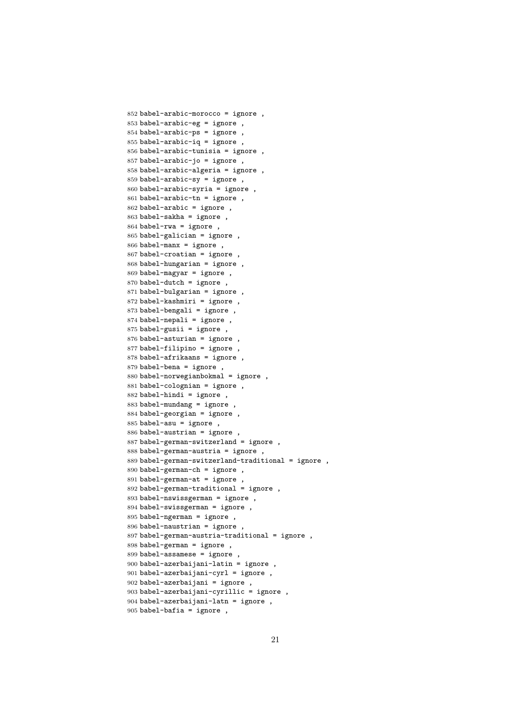```
852 babel-arabic-morocco = ignore ,
853 babel-arabic-eg = ignore ,
854 babel-arabic-ps = ignore ,
855 babel-arabic-iq = ignore,
856 babel-arabic-tunisia = ignore ,
857 babel-arabic-jo = ignore,
858 babel-arabic-algeria = ignore ,
859 babel-arabic-sy = ignore ,
860 babel-arabic-syria = ignore ,
861 babel-arabic-tn = ignore ,
862 babel-arabic = ignore ,
863 babel-sakha = ignore ,
864 babel-rwa = ignore ,
865 babel-galician = ignore ,
866 babel-manx = ignore ,
867 babel-croatian = ignore ,
868 babel-hungarian = ignore ,
869 babel-magyar = ignore ,
870 babel-dutch = ignore ,
871 babel-bulgarian = ignore ,
872 babel-kashmiri = ignore ,
873 babel-bengali = ignore ,
874 babel-nepali = ignore ,
875 babel-gusii = ignore ,
876 babel-asturian = ignore ,
877 babel-filipino = ignore ,
878 babel-afrikaans = ignore ,
879 babel-bena = ignore ,
880 babel-norwegianbokmal = ignore ,
881 babel-colognian = ignore ,
882 babel-hindi = ignore ,
883 babel-mundang = ignore ,
884 babel-georgian = ignore ,
885 babel-asu = ignore ,
886 babel-austrian = ignore ,
887 babel-german-switzerland = ignore ,
888 babel-german-austria = ignore ,
889 babel-german-switzerland-traditional = ignore ,
890 babel-german-ch = ignore ,
891 babel-german-at = ignore ,
892 babel-german-traditional = ignore ,
893 babel-nswissgerman = ignore ,
894 babel-swissgerman = ignore ,
895 babel-ngerman = ignore ,
896 babel-naustrian = ignore ,
897 babel-german-austria-traditional = ignore ,
898 babel-german = ignore ,
899 babel-assamese = ignore ,
900 babel-azerbaijani-latin = ignore ,
901 babel-azerbaijani-cyrl = ignore ,
902 babel-azerbaijani = ignore ,
903 babel-azerbaijani-cyrillic = ignore ,
904 babel-azerbaijani-latn = ignore ,
905 babel-bafia = ignore ,
```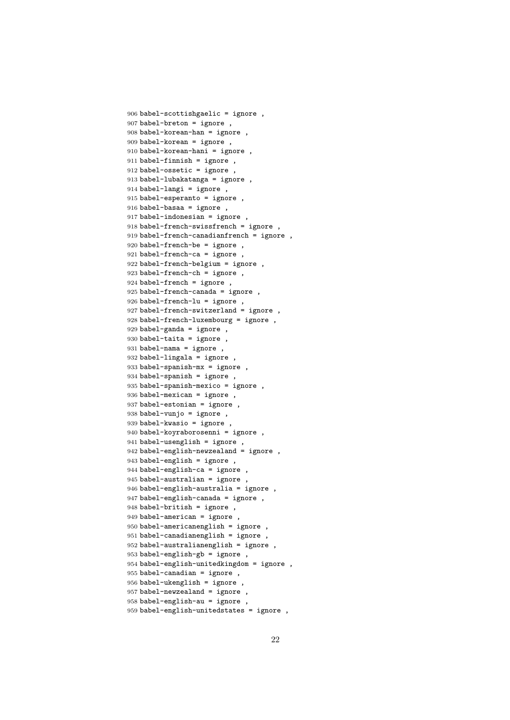```
906 babel-scottishgaelic = ignore ,
907 babel-breton = ignore ,
908 babel-korean-han = ignore ,
909 babel-korean = ignore ,
910 babel-korean-hani = ignore ,
911 babel-finnish = ignore ,
912 babel-ossetic = ignore ,
913 babel-lubakatanga = ignore ,
914 babel-langi = ignore ,
915 babel-esperanto = ignore ,
916 babel-basaa = ignore ,
917 babel-indonesian = ignore ,
918 babel-french-swissfrench = ignore ,
919 babel-french-canadianfrench = ignore ,
920 babel-french-be = ignore ,
921 babel-french-ca = ignore ,
922 babel-french-belgium = ignore ,
923 babel-french-ch = ignore ,
924 babel-french = ignore ,
925 babel-french-canada = ignore ,
926 babel-french-lu = ignore ,
927 babel-french-switzerland = ignore ,
928 babel-french-luxembourg = ignore ,
929 babel-ganda = ignore,
930 babel-taita = ignore ,
931 babel-nama = ignore ,
932 babel-lingala = ignore ,
933 babel-spanish-mx = ignore ,
934 babel-spanish = ignore ,
935 babel-spanish-mexico = ignore ,
936 babel-mexican = ignore ,
937 babel-estonian = ignore ,
938 babel-vunjo = ignore ,
939 babel-kwasio = ignore ,
940 babel-koyraborosenni = ignore ,
941 babel-usenglish = ignore ,
942 babel-english-newzealand = ignore ,
943 babel-english = ignore ,
944 babel-english-ca = ignore ,
945 babel-australian = ignore ,
946 babel-english-australia = ignore ,
947 babel-english-canada = ignore ,
948 babel-british = ignore ,
949 babel-american = ignore ,
950 babel-americanenglish = ignore ,
951 babel-canadianenglish = ignore ,
952 babel-australianenglish = ignore ,
953 babel-english-gb = ignore ,
954 babel-english-unitedkingdom = ignore ,
955 babel-canadian = ignore ,
956 babel-ukenglish = ignore ,
957 babel-newzealand = ignore ,
958 babel-english-au = ignore ,
959 babel-english-unitedstates = ignore ,
```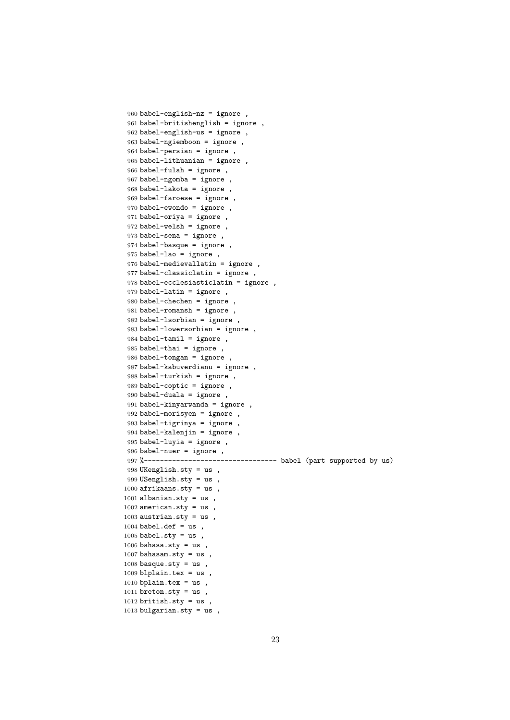```
960 babel-english-nz = ignore ,
961 babel-britishenglish = ignore ,
962 babel-english-us = ignore ,
963 babel-ngiemboon = ignore ,
964 babel-persian = ignore ,
965 babel-lithuanian = ignore ,
966 babel-fulah = ignore ,
967 babel-ngomba = ignore ,
968 babel-lakota = ignore ,
969 babel-faroese = ignore ,
970 babel-ewondo = ignore ,
971 babel-oriya = ignore ,
972 babel-welsh = ignore ,
973 babel-sena = ignore ,
974 babel-basque = ignore ,
975 babel-lao = ignore ,
976 babel-medievallatin = ignore ,
977 babel-classiclatin = ignore ,
978 babel-ecclesiasticlatin = ignore ,
979 babel-latin = ignore ,
980 babel-chechen = ignore ,
981 babel-romansh = ignore ,
982 babel-lsorbian = ignore ,
983 babel-lowersorbian = ignore ,
984 babel-tamil = ignore ,
985 babel-thai = ignore ,
986 babel-tongan = ignore ,
987 babel-kabuverdianu = ignore ,
988 babel-turkish = ignore ,
989 babel-coptic = ignore ,
990 babel-duala = ignore ,
991 babel-kinyarwanda = ignore ,
992 babel-morisyen = ignore ,
993 babel-tigrinya = ignore ,
994 babel-kalenjin = ignore ,
995 babel-luyia = ignore ,
996 babel-nuer = ignore ,
997 %--------------------------------- babel (part supported by us)
998 UKenglish.sty = us ,
999 USenglish.sty = us ,
1000 afrikaans.sty = us,
1001 albanian.sty = us,
1002 american.sty = us,
1003 austrian.sty = us,
1004 babel.def = us,
1005 babel.sty = us,
1006 bahasa.sty = us,
1007 bahasam.sty = us,
1008 basque.sty = us,
1009 blplain.tex = us,
1010 bplain.tex = us,
1011 breton.sty = us,
1012 british.sty = us,
1013 bulgarian.sty = us,
```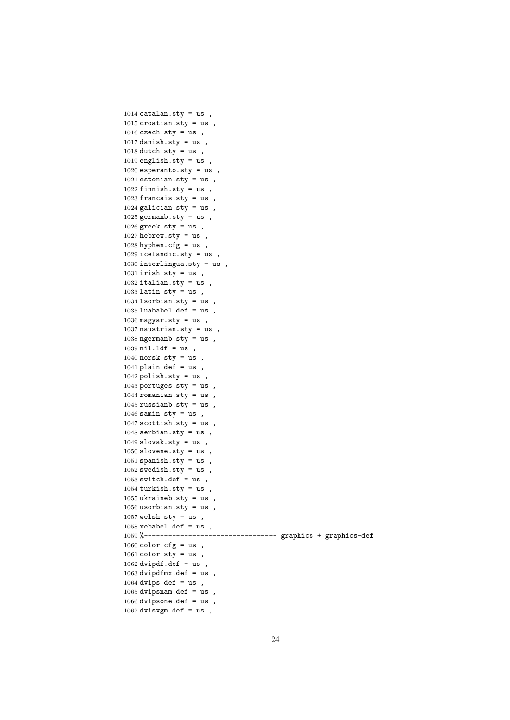```
1014 catalan.sty = us,
1015 croatian.sty = us,
1016 czech.sty = us,
1017 danish.sty = us,
1018 dutch.sty = us,
1019 english.sty = us,
1020 esperanto.sty = us,
1021 estonian.sty = us,
1022 finnish.sty = us,
1023 francais.sty = us,
1024 galician.sty = us,
1025 germanb.sty = us,
1026 greek.sty = us,
1027 hebrew.sty = us,
1028 hyphen.cfg = us,
1029 icelandic.sty = us,
1030 interlingua.sty = us ,
1031 irish.sty = us,
1032 italian.sty = us,
1033 latin.sty = us,
1034 lsorbian.sty = us,
1035 luababel.def = us,
1036 magyar.sty = us,
1037 naustrian.sty = us,
1038 ngermanb.sty = us,
1039 nil.ldf = us,
1040 norsk.sty = us,
1041 plain.def = us,
1042 polish.sty = us,
1043 portuges.sty = us ,
1044 romanian.sty = us,
1045 russianb.sty = us,
1046 samin.sty = us,
1047 scottish.sty = us,
1048 serbian.sty = us,
1049 slovak.sty = us,
1050 slovene.sty = us,
1051 spanish.sty = us,
1052 swedish.sty = us,
1053 switch.def = us,
1054 turkish.sty = us,
1055 ukraineb.sty = us,
1056 usorbian.sty = us,
1057 welsh.sty = us,
1058 xebabel.def = us,
1059 %--------------------------------- graphics + graphics-def
1060 color.cfg = us,
1061 color.sty = us,
1062 dvipdf.def = us,
1063 dvipdfmx.def = us ,
1064 dvips.def = us,
1065 dvipsnam.def = us,
1066 dvipsone.def = us ,
1067 dvisvgm.def = us,
```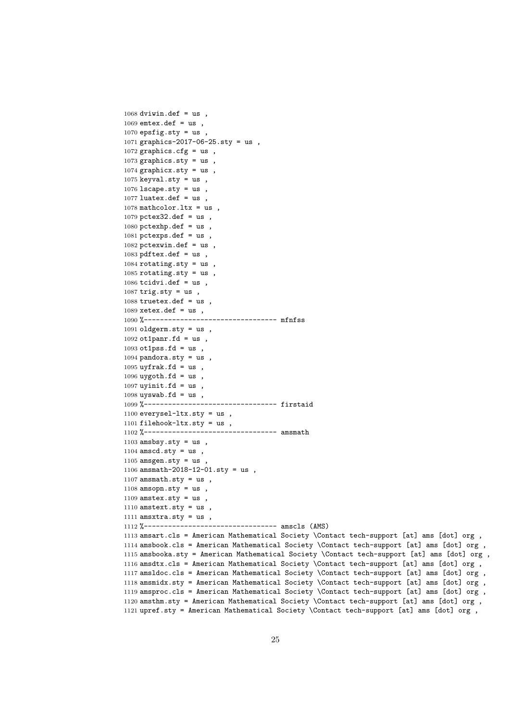dviwin.def = us, emtex.def = us, epsfig.sty = us, graphics-2017-06-25.sty = us , graphics.cfg = us, 1073 graphics.sty =  $us$ , graphicx.sty = us, keyval.sty = us, lscape.sty = us, luatex.def = us, mathcolor.ltx = us, pctex32.def = us, 1080 pctexhp.def =  $us$ , 1081 pctexps.def =  $us$ , pctexwin.def = us, pdftex.def = us, rotating.sty = us rotating.sty = us, tcidvi.def = us, trig.sty = us, truetex.def = us, xetex.def = us, %--------------------------------- mfnfss oldgerm.sty = us, ot1panr.fd = us, ot1pss.fd = us, 1094 pandora.sty =  $us$ , uyfrak.fd = us, uygoth.fd = us, uyinit.fd = us, 1098 uyswab.fd = us, %--------------------------------- firstaid everysel-ltx.sty = us , 1101 filehook-ltx.sty =  $us$ , 1102 %----------------------------------- amsmath amsbsy.sty = us, amscd.sty = us, 1105 amsgen.sty =  $us$ , amsmath-2018-12-01.sty = us , 1107 amsmath.sty =  $us$ , amsopn.sty = us, amstex.sty = us,  $amstext.sty = us$ ,  $\text{amsxtra}.\text{sty} = \text{us}$ , %--------------------------------- amscls (AMS) amsart.cls = American Mathematical Society \Contact tech-support [at] ams [dot] org , amsbook.cls = American Mathematical Society \Contact tech-support [at] ams [dot] org , amsbooka.sty = American Mathematical Society \Contact tech-support [at] ams [dot] org , amsdtx.cls = American Mathematical Society \Contact tech-support [at] ams [dot] org , amsldoc.cls = American Mathematical Society \Contact tech-support [at] ams [dot] org , amsmidx.sty = American Mathematical Society \Contact tech-support [at] ams [dot] org , amsproc.cls = American Mathematical Society \Contact tech-support [at] ams [dot] org , amsthm.sty = American Mathematical Society \Contact tech-support [at] ams [dot] org , upref.sty = American Mathematical Society \Contact tech-support [at] ams [dot] org ,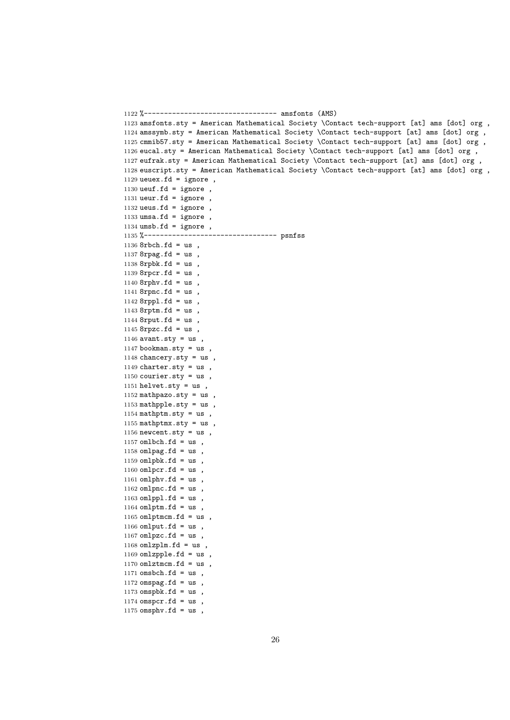1122 %--------------------------------- amsfonts (AMS) 1123 amsfonts.sty = American Mathematical Society \Contact tech-support [at] ams [dot] org , 1124 amssymb.sty = American Mathematical Society \Contact tech-support [at] ams [dot] org , 1125 cmmib57.sty = American Mathematical Society \Contact tech-support [at] ams [dot] org , 1126 eucal.sty = American Mathematical Society \Contact tech-support [at] ams [dot] org , 1127 eufrak.sty = American Mathematical Society \Contact tech-support [at] ams [dot] org , 1128 euscript.sty = American Mathematical Society \Contact tech-support [at] ams [dot] org , 1129 ueuex.fd = ignore, 1130 ueuf.fd = ignore, 1131 ueur.fd = ignore, 1132 ueus.fd = ignore, 1133 umsa.fd = ignore ,  $1134$  umsb.fd = ignore, 1135 %--------------------------------- psnfss 1136 8rbch.fd = us , 1137  $8$ rpag.fd = us, 1138 8rpbk.fd = us , 1139 8rpcr.fd = us , 1140 8rphv.fd = us , 1141 8rpnc.fd = us , 1142 8rppl.fd = us , 1143 8rptm.fd = us , 1144 8rput.fd = us ,  $1145$  8rpzc.fd = us,  $1146$  avant.sty = us,  $1147$  bookman.sty = us, 1148 chancery.sty = us , 1149 charter.sty =  $us$ , 1150 courier.sty =  $us$ , 1151 helvet.sty = us , 1152 mathpazo.sty = us, 1153 mathpple.sty = us ,  $1154$  mathptm.sty = us, 1155 mathptmx.sty =  $us$ , 1156 newcent.sty =  $us$ , 1157 omlbch.fd =  $us$ , 1158 omlpag.fd =  $us$ , 1159 omlpbk.fd =  $us$ ,  $1160$  omlpcr.fd = us, 1161 omlphv.fd =  $us$ , 1162 omlpnc.fd =  $us$ ,  $1163$  omlppl.fd = us,  $1164$  omlptm.fd = us, 1165 omlptmcm.fd =  $us$ , 1166 omlput.fd = us, 1167 omlpzc.fd = us,  $1168$  omlzplm.fd = us, 1169 omlzpple.fd =  $us$ , 1170 omlztmcm.fd = us,  $1171$  omsbch.fd = us, 1172 omspag.fd =  $us$ , 1173 omspbk.fd = us ,  $1174$  omspcr.fd = us, 1175 omsphv.fd =  $us$ ,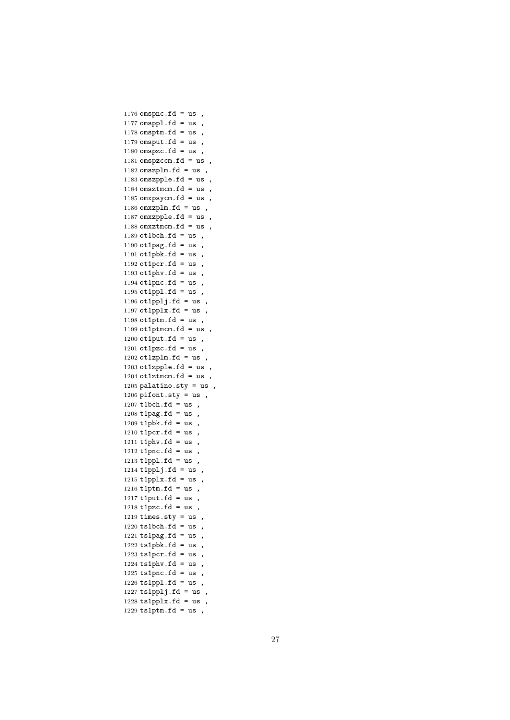```
1176 omspnc.fd = us,
1177 omsppl.fd = us,
1178 omsptm.fd = us,
1179 omsput.fd = us,
1180 omspzc.fd = us,
1181 omspzccm.fd = us,
1182 omszplm.fd = us,
1183 omszpple.fd = us ,
1184 omsztmcm.fd = us,
1185 omxpsycm.fd = us,
1186 omxzplm.fd = us,
1187 omxzpple.fd = us ,
1188 omxztmcm.fd = us,
1189 ot1bch.fd = us,
1190 ot1pag.fd = us,
1191 ot1pbk.fd = us,
1192 ot1pcr.fd = us,
1193 ot1phv.fd = us,
1194 ot1pnc.fd = us,
1195 ot1ppl.fd = us,
1196 ot1pplj.fd = us,
1197 ot1pplx.fd = us,
1198 ot1ptm.fd = us,
1199 ot1ptmcm.fd = us,
1200 ot1put.fd = us,
1201 ot1pzc.fd = us,
1202 ot1zplm.fd = us,
1203 ot1zpple.fd = us,
1204 ot1ztmcm.fd = us,
1205 palatino.sty = us,
1206 pifont.sty = us,
1207 t1bch.fd = us,
1208 t1pag.fd = us,
1209 t1pbk.fd = us,
1210 t1pcr.fd = us,
1211 t1phv.fd = us,
1212 t1pnc.fd = us,
1213 t1ppl.fd = us,
1214 t1pplj.fd = us,
1215 t1pplx.fd = us,
1216 t1ptm.fd = us,
1217 t1put.fd = us,
1218 t1pzc.fd = us,
1219 \text{ times}. \text{sty} = \text{us},
1220 ts1bch.fd = us,
1221 ts1pag.fd = us,
1222 ts1pbk.fd = us,
1223 ts1pcr.fd = us,
1224 ts1phv.fd = us,
1225 ts1pnc.fd = us,
1226 ts1ppl.fd = us,
1227 ts1pplj.fd = us,
1228 ts1pplx.fd = us,
1229 ts1ptm.fd = us,
```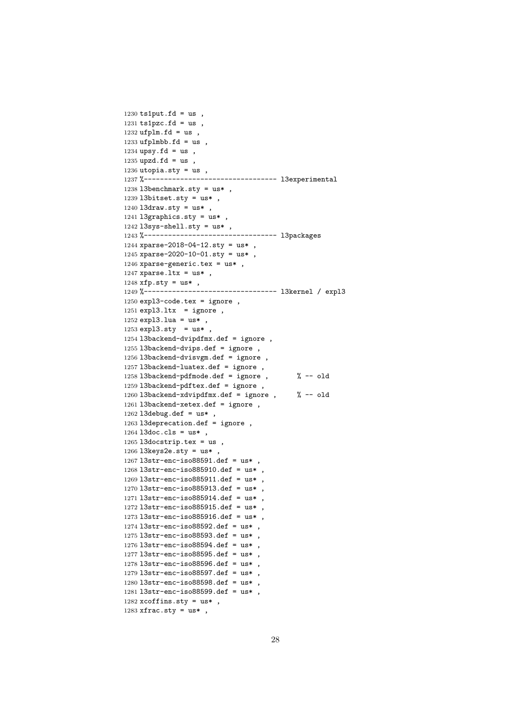```
1230 ts1put.fd = us,
1231 ts1pzc.fd = us,
1232 ufplm.fd = us,
1233 ufplmbb.fd = us,
1234 upsy.fd = us,
1235 upzd.fd = us,
1236 utopia.sty = us,
1237 %--------------------------------- l3experimental
1238 l3benchmark.sty = us* ,
1239 l3bitset.sty = us* ,
1240 l3draw.sty = us*,
1241 l3graphics.sty = us* ,
1242l3sys-shell.sty = us* ,
1243 %--------------------------------- l3packages
1244 xparse-2018-04-12.sty = us* ,
1245 xparse-2020-10-01.sty = us*,
1246 xparse-generic.tex = us* ,
1247 xparse.ltx = us*,
1248 xfp.sty = us* ,
1249 %--------------------------------- l3kernel / expl3
1250 expl3-code.tex = ignore ,
1251 expl3.ltx = ignore,
1252 expl3.lua = us* ,
1253 expl3.sty = us*,
1254 l3backend-dvipdfmx.def = ignore ,
1255 l3backend-dvips.def = ignore ,
1256 l3backend-dvisvgm.def = ignore ,
1257 l3backend-luatex.def = ignore ,
1258 l3backend-pdfmode.def = ignore , % -- old
1259 l3backend-pdftex.def = ignore ,
1260 l3backend-xdvipdfmx.def = ignore , % -- old
1261 l3backend-xetex.def = ignore ,
1262 l3debug.def = us* ,
1263 l3deprecation.def = ignore,
1264 l3doc.cls = us* ,
1265 l3docstrip.tex = us,
1266 l3keys2e.sty = us* ,
1267 l3str-enc-iso88591.def = us* ,
1268 l3str-enc-iso885910.def = us* ,
1269 l3str-enc-iso885911.def = us* ,
1270 l3str-enc-iso885913.def = us* ,
1271 l3str-enc-iso885914.def = us* ,
1272 l3str-enc-iso885915.def = us* ,
1273 l3str-enc-iso885916.def = us* ,
1274 l3str-enc-iso88592.def = us*,
1275 l3str-enc-iso88593.def = us*,
1276 l3str-enc-iso88594.def = us* ,
1277 l3str-enc-iso88595.def = us* ,
1278 l3str-enc-iso88596.def = us* ,
1279 l3str-enc-iso88597.def = us* ,
1280 l3str-enc-iso88598.def = us* ,
1281 l3str-enc-iso88599.def = us* ,
1282 xcoffins.sty = us* ,
1283 xfrac.sty = us*,
```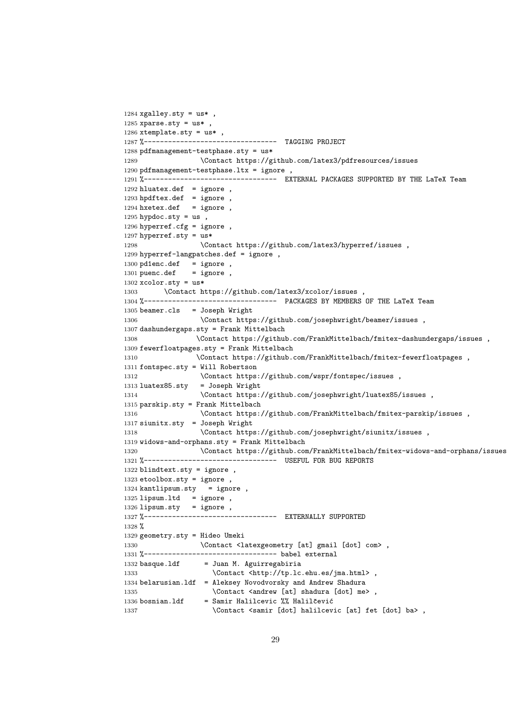```
1284 xgalley.sty = us*,
1285 xparse.sty = us*1286 xtemplate.sty = us*,
1287 %--------------------------------- TAGGING PROJECT
1288 pdfmanagement-testphase.sty = us*
1289 \Contact https://github.com/latex3/pdfresources/issues
1290 pdfmanagement-testphase.ltx = ignore ,
1291 %-------------------------------- EXTERNAL PACKAGES SUPPORTED BY THE LaTeX Team
1292 hluatex.def = ignore,
1293 hpdftex.def = ignore,
1294 hxetex.def = ignore,
1295 hypdoc.sty = us,
1296 hyperref.cfg = ignore ,
1297 hyperref.sty = us*
1298 \Contact https://github.com/latex3/hyperref/issues ,
1299 hyperref-langpatches.def = ignore ,
1300 pd1enc.def = ignore,
1301 puenc.def = ignore,
1302 xcolor.sty = us*
1303 \Contact https://github.com/latex3/xcolor/issues 1304 %--------------------------- PACKAGES BY MEMBERS
                 1304 %--------------------------------- PACKAGES BY MEMBERS OF THE LaTeX Team
1305 beamer.cls = Joseph Wright
1306 \Contact https://github.com/josephwright/beamer/issues ,
1307 dashundergaps.sty = Frank Mittelbach
1308 \Contact https://github.com/FrankMittelbach/fmitex-dashundergaps/issues ,
1309 fewerfloatpages.sty = Frank Mittelbach
1310 \Contact https://github.com/FrankMittelbach/fmitex-fewerfloatpages ,
1311 fontspec.sty = Will Robertson
1312 \Contact https://github.com/wspr/fontspec/issues ,
1313 luatex85.sty = Joseph Wright
1314 \Contact https://github.com/josephwright/luatex85/issues ,
1315 parskip.sty = Frank Mittelbach
1316 \Contact https://github.com/FrankMittelbach/fmitex-parskip/issues ,
1317 siunitx.sty = Joseph Wright
1318 \Contact https://github.com/josephwright/siunitx/issues ,
1319 widows-and-orphans.sty = Frank Mittelbach
1320 \Contact https://github.com/FrankMittelbach/fmitex-widows-and-orphans/issues ,
1321 %----------------------------------    USEFUL FOR BUG REPORTS
1322 blindtext.sty = ignore ,
1323 etoolbox.sty = ignore
1324 kantlipsum.sty = ignore,
1325 lipsum.ltd = ignore,
1326 lipsum.sty = ignore,
1327 %--------------------------------- EXTERNALLY SUPPORTED
1328 %
1329 geometry.sty = Hideo Umeki
1330 \Contact <latexgeometry [at] gmail [dot] com>,
1331 %--------------------------------- babel external
1332 basque.ldf = Juan M. Aguirregabiria
1333 \Contact <http://tp.lc.ehu.es/jma.html>,
1334 belarusian.ldf = Aleksey Novodvorsky and Andrew Shadura
1335 \Contact <andrew [at] shadura [dot] me>,
1336 bosnian.ldf = Samir Halilcevic \frac{9}{6} Halilčević
1337 \Contact <samir [dot] halilcevic [at] fet [dot] ba>,
```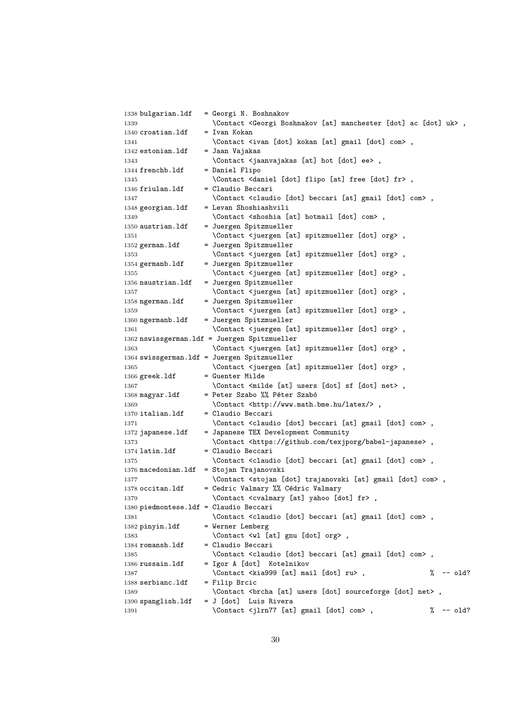```
1338 bulgarian.ldf = Georgi N. Boshnakov
1339 \Contact <Georgi Boshnakov [at] manchester [dot] ac [dot] uk>,
1340 croatian.ldf = Ivan Kokan
1341 \Contact <ivan [dot] kokan [at] gmail [dot] com>,
1342 estonian.ldf = Jaan Vajakas
1343 \Contact <jaanvajakas [at] hot [dot] ee>,
1344 frenchb.ldf = Daniel Flipo
1345 \Contact <daniel [dot] flipo [at] free [dot] fr>,
1346 friulan.ldf = Claudio Beccari
1347 \Contact <claudio [dot] beccari [at] gmail [dot] com>,
1348 georgian.ldf = Levan Shoshiashvili
1349 \Contact <shoshia [at] hotmail [dot] com>,
1350 austrian.ldf = Juergen Spitzmueller
1351 \Contact <juergen [at] spitzmueller [dot] org>,
1352 german.ldf = Juergen Spitzmueller
1353 \Contact <juergen [at] spitzmueller [dot] org>,
1354 germanb.ldf = Juergen Spitzmueller
1355 \Contact <juergen [at] spitzmueller [dot] org>,
1356 naustrian.ldf = Juergen Spitzmueller
1357 \Contact <juergen [at] spitzmueller [dot] org>,
1358 ngerman.ldf = Juergen Spitzmueller
1359 \Contact <juergen [at] spitzmueller [dot] org>,
1360 ngermanb.ldf = Juergen Spitzmueller
1361 \Contact <juergen [at] spitzmueller [dot] org>,
1362 nswissgerman.ldf = Juergen Spitzmueller
1363 \Contact <juergen [at] spitzmueller [dot] org>,
1364 swissgerman.ldf = Juergen Spitzmueller
1365 \Contact <juergen [at] spitzmueller [dot] org>,
1366 greek.ldf = Guenter Milde
1367 \Contact <milde [at] users [dot] sf [dot] net>,
1368 magyar.ldf = Peter Szabo %% Péter Szabó
1369 \Contact <http://www.math.bme.hu/latex/>,
1370 italian.ldf = Claudio Beccari
1371 \Contact <claudio [dot] beccari [at] gmail [dot] com>,
1372 japanese.ldf = Japanese TEX Development Community
1373 \Contact <https://github.com/texjporg/babel-japanese>,
1374 latin.ldf = Claudio Beccari
1375 \Contact <claudio [dot] beccari [at] gmail [dot] com>,
1376 macedonian.ldf = Stojan Trajanovski
1377 \Contact <stojan [dot] trajanovski [at] gmail [dot] com> ,
1378 occitan.ldf = Cedric Valmary %% Cédric Valmary
1379 \Contact <cvalmary [at] yahoo [dot] fr>,
1380 piedmontese.ldf = Claudio Beccari
1381 \Contact <claudio [dot] beccari [at] gmail [dot] com>,
1382 pinyin.ldf = Werner Lemberg
1383 \Contact <wl [at] gnu [dot] org>,
1384 romansh.ldf = Claudio Beccari
1385 \Contact <claudio [dot] beccari [at] gmail [dot] com>,
1386 russain.ldf = Igor A [dot] Kotelnikov
1387 \Contact <kia999 [at] mail [dot] ru> , \% -- old?
1388 serbianc.ldf = Filip Brcic
1389 \Contact <br/> <br/> \Contact <br/> <br/> <br/> (dot] sourceforge [dot] net> ,
1390 spanglish.ldf = J [dot] Luis Rivera
1391 \Contact <jlrn77 [at] gmail [dot] com> , \% -- old?
```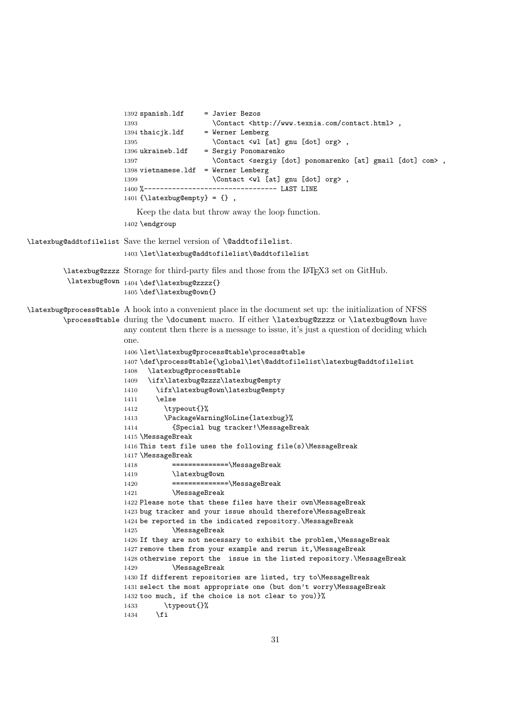```
1392 spanish.ldf = Javier Bezos
                       1393 \Contact <http://www.texnia.com/contact.html> ,
                       1394 thaicjk.ldf = Werner Lemberg
                       1395 \Contact <wl [at] gnu [dot] org>,
                       1396 ukraineb.ldf = Sergiy Ponomarenko
                       1397 \Contact <sergiy [dot] ponomarenko [at] gmail [dot] com>,
                       1398 vietnamese.ldf = Werner Lemberg
                       1399 \Contact <wl [at] gnu [dot] org> ,
                                                ------------ LAST LINE
                       1401 \{\text{atextungempty} = \{\},
                          Keep the data but throw away the loop function.
                       1402 \endgroup
\latexbug@addtofilelist Save the kernel version of \@addtofilelist.
                       1403 \let\latexbug@addtofilelist\@addtofilelist
        \latexbug@zzzz
Storage for third-party files and those from the LATEX3 set on GitHub.
         \latexbug@own 1404 \def\latexbug@zzzz{}
                       1405 \def\latexbug@own{}
\latexbug@process@table
A hook into a convenient place in the document set up: the initialization of NFSS
        \process@table
during the \document macro. If either \latexbug@zzzz or \latexbug@own have
                       any content then there is a message to issue, it's just a question of deciding which
                       one.
                       1406 \let\latexbug@process@table\process@table
                       1407 \def\process@table{\global\let\@addtofilelist\latexbug@addtofilelist
                       1408 \latexbug@process@table
                       1409 \ifx\latexbug@zzzz\latexbug@empty
                       1410 \ifx\latexbug@own\latexbug@empty
                       1411 \else
                       1412 \typeout{}%
                       1413 \PackageWarningNoLine{latexbug}%
                       1414 {Special bug tracker!\MessageBreak
                       1415 \MessageBreak
                       1416 This test file uses the following file(s)\MessageBreak
                       1417 \MessageBreak
                      1418 ===============\MessageBreak
                      1419 \latexbug@own
                      1420 ==============\MessageBreak
                      1421 \MessageBreak
                      1422 Please note that these files have their own\MessageBreak
                      1423 bug tracker and your issue should therefore\MessageBreak
                      1424 be reported in the indicated repository.\MessageBreak
                      1425 \MessageBreak
                       1426 If they are not necessary to exhibit the problem,\MessageBreak
                       1427 remove them from your example and rerun it,\MessageBreak
                       1428 otherwise report the issue in the listed repository.\MessageBreak
                       1429 \MessageBreak
                       1430 If different repositories are listed, try to\MessageBreak
                       1431 select the most appropriate one (but don't worry\MessageBreak
                       1432 too much, if the choice is not clear to you)}%
                       1433 \typeout{}%
                       1434 \fi
```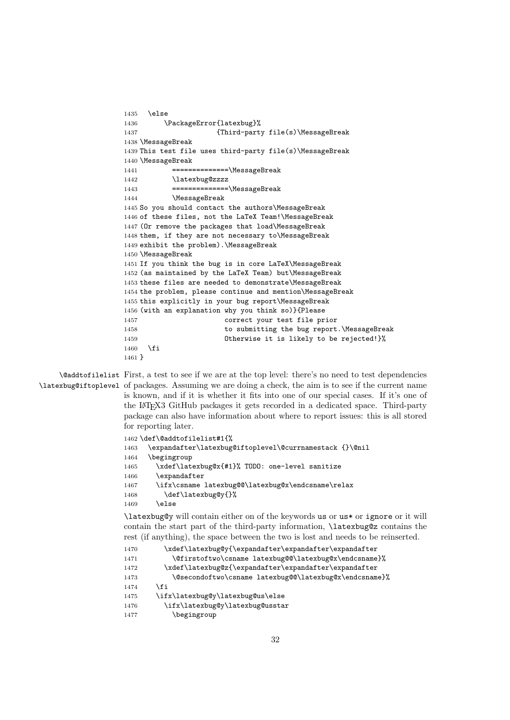```
1435 \else
1436 \PackageError{latexbug}%
1437 {Third-party file(s)\MessageBreak
1438 \MessageBreak
1439 This test file uses third-party file(s)\MessageBreak
1440 \MessageBreak
1441 = ===============\MessageBreak
1442 \latexbug@zzzz
1443 ==============\MessageBreak
1444 \MessageBreak
1445 So you should contact the authors\MessageBreak
1446 of these files, not the LaTeX Team!\MessageBreak
1447 (Or remove the packages that load\MessageBreak
1448 them, if they are not necessary to\MessageBreak
1449 exhibit the problem).\MessageBreak
1450 \MessageBreak
1451 If you think the bug is in core LaTeX\MessageBreak
1452 (as maintained by the LaTeX Team) but\MessageBreak
1453 these files are needed to demonstrate\MessageBreak
1454 the problem, please continue and mention\MessageBreak
1455 this explicitly in your bug report\MessageBreak
1456 (with an explanation why you think so)}{Please
1457 correct your test file prior
1458 to submitting the bug report.\MessageBreak
1459 Otherwise it is likely to be rejected!}%
1460 \fi
1461 }
```
\@addtofilelist First, a test to see if we are at the top level: there's no need to test dependencies \latexbug@iftoplevel of packages. Assuming we are doing a check, the aim is to see if the current name is known, and if it is whether it fits into one of our special cases. If it's one of the LATEX3 GitHub packages it gets recorded in a dedicated space. Third-party package can also have information about where to report issues: this is all stored for reporting later.

```
1462 \def\@addtofilelist#1{%
1463 \expandafter\latexbug@iftoplevel\@currnamestack {}\@nil
1464 \begingroup
1465 \xdef\latexbug@x{#1}% TODO: one-level sanitize
1466 \expandafter
1467 \ifx\csname latexbug@@\latexbug@x\endcsname\relax
1468 \def\latexbug@y{}%
1469 \else
```
\latexbug@y will contain either on of the keywords us or us\* or ignore or it will contain the start part of the third-party information, \latexbug@z contains the rest (if anything), the space between the two is lost and needs to be reinserted.

```
1470 \xdef\latexbug@y{\expandafter\expandafter\expandafter
1471 \@firstoftwo\csname latexbug@@\latexbug@x\endcsname}%
1472 \xdef\latexbug@z{\expandafter\expandafter\expandafter
1473 \@secondoftwo\csname latexbug@@\latexbug@x\endcsname}%
1474 \fi
1475 \ifx\latexbug@y\latexbug@us\else
1476 \ifx\latexbug@y\latexbug@usstar
1477 \begingroup
```